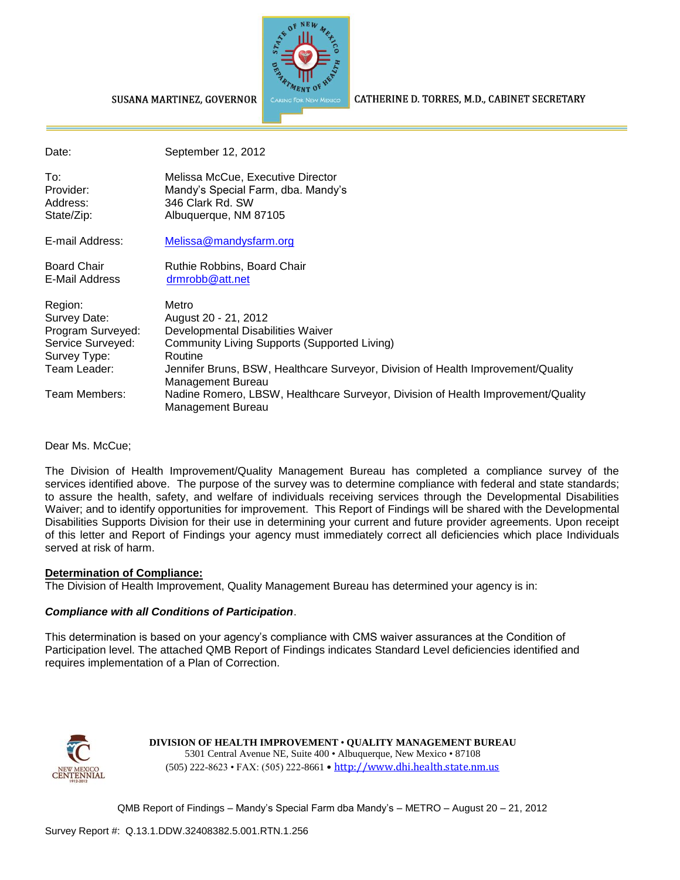

CATHERINE D. TORRES, M.D., CABINET SECRETARY

| Date:              | September 12, 2012                                                               |
|--------------------|----------------------------------------------------------------------------------|
| To:                | Melissa McCue, Executive Director                                                |
| Provider:          | Mandy's Special Farm, dba. Mandy's                                               |
| Address:           | 346 Clark Rd. SW                                                                 |
| State/Zip:         | Albuquerque, NM 87105                                                            |
| E-mail Address:    | Melissa@mandysfarm.org                                                           |
| <b>Board Chair</b> | Ruthie Robbins, Board Chair                                                      |
| E-Mail Address     | drmrobb@att.net                                                                  |
| Region:            | Metro                                                                            |
| Survey Date:       | August 20 - 21, 2012                                                             |
| Program Surveyed:  | Developmental Disabilities Waiver                                                |
| Service Surveyed:  | Community Living Supports (Supported Living)                                     |
| Survey Type:       | Routine                                                                          |
| Team Leader:       | Jennifer Bruns, BSW, Healthcare Surveyor, Division of Health Improvement/Quality |

Management Bureau

SUSANA MARTINEZ, GOVERNOR

Management Bureau

Dear Ms. McCue;

The Division of Health Improvement/Quality Management Bureau has completed a compliance survey of the services identified above. The purpose of the survey was to determine compliance with federal and state standards; to assure the health, safety, and welfare of individuals receiving services through the Developmental Disabilities Waiver; and to identify opportunities for improvement. This Report of Findings will be shared with the Developmental Disabilities Supports Division for their use in determining your current and future provider agreements. Upon receipt of this letter and Report of Findings your agency must immediately correct all deficiencies which place Individuals served at risk of harm.

Team Members: Nadine Romero, LBSW, Healthcare Surveyor, Division of Health Improvement/Quality

#### **Determination of Compliance:**

The Division of Health Improvement, Quality Management Bureau has determined your agency is in:

#### *Compliance with all Conditions of Participation*.

This determination is based on your agency's compliance with CMS waiver assurances at the Condition of Participation level. The attached QMB Report of Findings indicates Standard Level deficiencies identified and requires implementation of a Plan of Correction.



**DIVISION OF HEALTH IMPROVEMENT** • **QUALITY MANAGEMENT BUREAU** 5301 Central Avenue NE, Suite 400 • Albuquerque, New Mexico • 87108 (505) 222-8623 • FAX: (505) 222-8661 • http://www.dhi.health.state.nm.us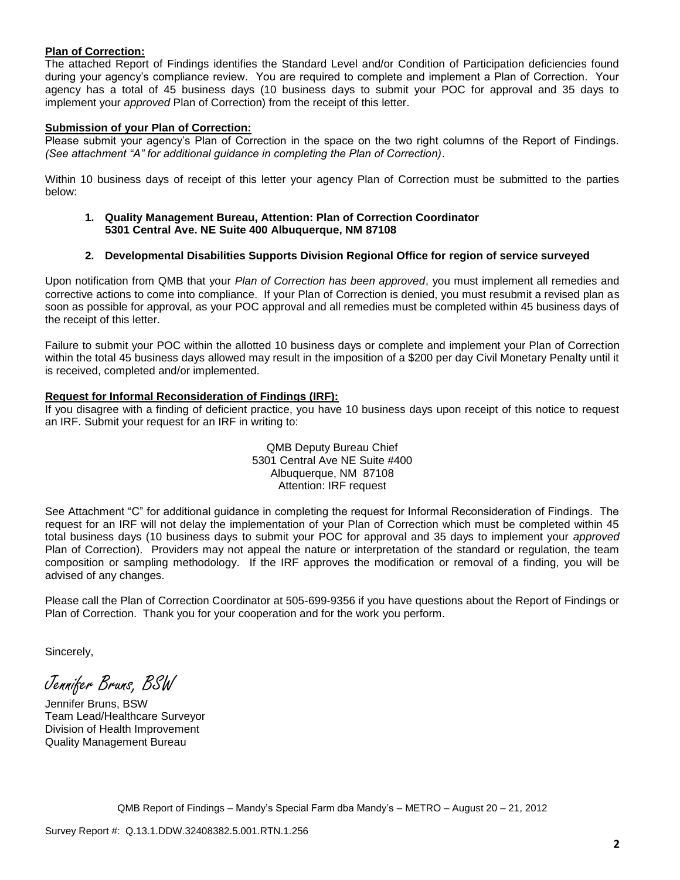#### **Plan of Correction:**

The attached Report of Findings identifies the Standard Level and/or Condition of Participation deficiencies found during your agency's compliance review. You are required to complete and implement a Plan of Correction. Your agency has a total of 45 business days (10 business days to submit your POC for approval and 35 days to implement your *approved* Plan of Correction) from the receipt of this letter.

#### **Submission of your Plan of Correction:**

Please submit your agency's Plan of Correction in the space on the two right columns of the Report of Findings. *(See attachment "A" for additional guidance in completing the Plan of Correction)*.

Within 10 business days of receipt of this letter your agency Plan of Correction must be submitted to the parties below:

**1. Quality Management Bureau, Attention: Plan of Correction Coordinator 5301 Central Ave. NE Suite 400 Albuquerque, NM 87108**

#### **2. Developmental Disabilities Supports Division Regional Office for region of service surveyed**

Upon notification from QMB that your *Plan of Correction has been approved*, you must implement all remedies and corrective actions to come into compliance. If your Plan of Correction is denied, you must resubmit a revised plan as soon as possible for approval, as your POC approval and all remedies must be completed within 45 business days of the receipt of this letter.

Failure to submit your POC within the allotted 10 business days or complete and implement your Plan of Correction within the total 45 business days allowed may result in the imposition of a \$200 per day Civil Monetary Penalty until it is received, completed and/or implemented.

#### **Request for Informal Reconsideration of Findings (IRF):**

If you disagree with a finding of deficient practice, you have 10 business days upon receipt of this notice to request an IRF. Submit your request for an IRF in writing to:

> QMB Deputy Bureau Chief 5301 Central Ave NE Suite #400 Albuquerque, NM 87108 Attention: IRF request

See Attachment "C" for additional guidance in completing the request for Informal Reconsideration of Findings. The request for an IRF will not delay the implementation of your Plan of Correction which must be completed within 45 total business days (10 business days to submit your POC for approval and 35 days to implement your *approved* Plan of Correction). Providers may not appeal the nature or interpretation of the standard or regulation, the team composition or sampling methodology. If the IRF approves the modification or removal of a finding, you will be advised of any changes.

Please call the Plan of Correction Coordinator at 505-699-9356 if you have questions about the Report of Findings or Plan of Correction. Thank you for your cooperation and for the work you perform.

Sincerely,

Jennifer Bruns, BSW

Jennifer Bruns, BSW Team Lead/Healthcare Surveyor Division of Health Improvement Quality Management Bureau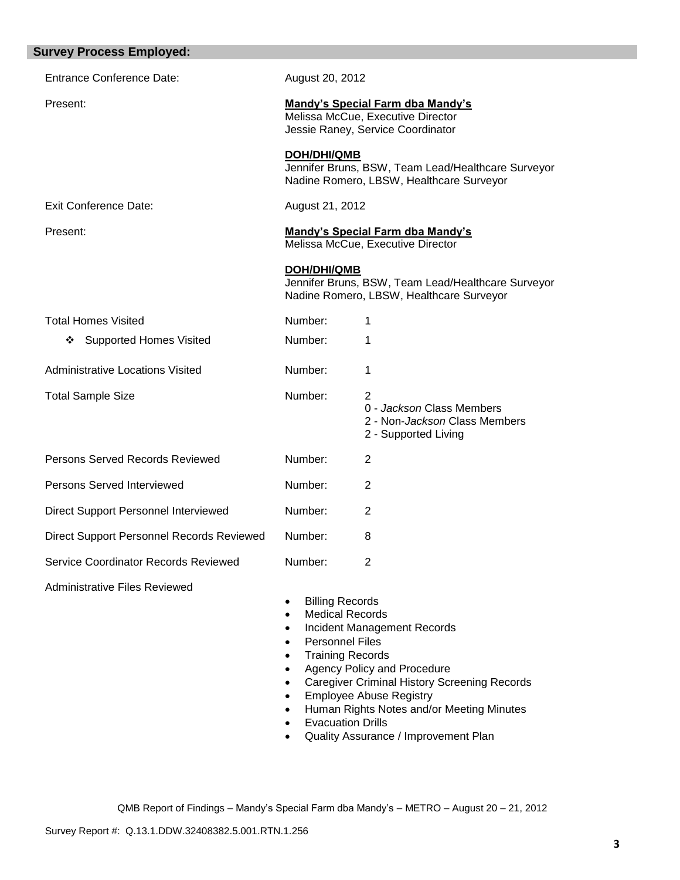| <b>Survey Process Employed:</b>           |                                                                                                                              |                                                                                                                                                                                                         |
|-------------------------------------------|------------------------------------------------------------------------------------------------------------------------------|---------------------------------------------------------------------------------------------------------------------------------------------------------------------------------------------------------|
| <b>Entrance Conference Date:</b>          | August 20, 2012                                                                                                              |                                                                                                                                                                                                         |
| Present:                                  |                                                                                                                              | <b>Mandy's Special Farm dba Mandy's</b><br>Melissa McCue, Executive Director<br>Jessie Raney, Service Coordinator                                                                                       |
|                                           | <b>DOH/DHI/QMB</b>                                                                                                           | Jennifer Bruns, BSW, Team Lead/Healthcare Surveyor<br>Nadine Romero, LBSW, Healthcare Surveyor                                                                                                          |
| Exit Conference Date:                     | August 21, 2012                                                                                                              |                                                                                                                                                                                                         |
| Present:                                  |                                                                                                                              | <b>Mandy's Special Farm dba Mandy's</b><br>Melissa McCue, Executive Director                                                                                                                            |
|                                           | <b>DOH/DHI/QMB</b>                                                                                                           | Jennifer Bruns, BSW, Team Lead/Healthcare Surveyor<br>Nadine Romero, LBSW, Healthcare Surveyor                                                                                                          |
| <b>Total Homes Visited</b>                | Number:                                                                                                                      | 1                                                                                                                                                                                                       |
| <b>Supported Homes Visited</b><br>❖       | Number:                                                                                                                      | 1                                                                                                                                                                                                       |
| <b>Administrative Locations Visited</b>   | Number:                                                                                                                      | 1                                                                                                                                                                                                       |
| <b>Total Sample Size</b>                  | Number:                                                                                                                      | 2<br>0 - Jackson Class Members<br>2 - Non- <i>Jackson</i> Class Members<br>2 - Supported Living                                                                                                         |
| Persons Served Records Reviewed           | Number:                                                                                                                      | 2                                                                                                                                                                                                       |
| Persons Served Interviewed                | Number:                                                                                                                      | 2                                                                                                                                                                                                       |
| Direct Support Personnel Interviewed      | Number:                                                                                                                      | $\overline{2}$                                                                                                                                                                                          |
| Direct Support Personnel Records Reviewed | Number:                                                                                                                      | 8                                                                                                                                                                                                       |
| Service Coordinator Records Reviewed      | Number:                                                                                                                      | 2                                                                                                                                                                                                       |
| <b>Administrative Files Reviewed</b>      | <b>Billing Records</b><br>$\bullet$<br><b>Medical Records</b><br><b>Personnel Files</b><br>٠<br><b>Training Records</b><br>٠ | <b>Incident Management Records</b><br>Agency Policy and Procedure<br><b>Caregiver Criminal History Screening Records</b><br><b>Employee Abuse Registry</b><br>Human Rights Notes and/or Meeting Minutes |

- Evacuation Drills
- Quality Assurance / Improvement Plan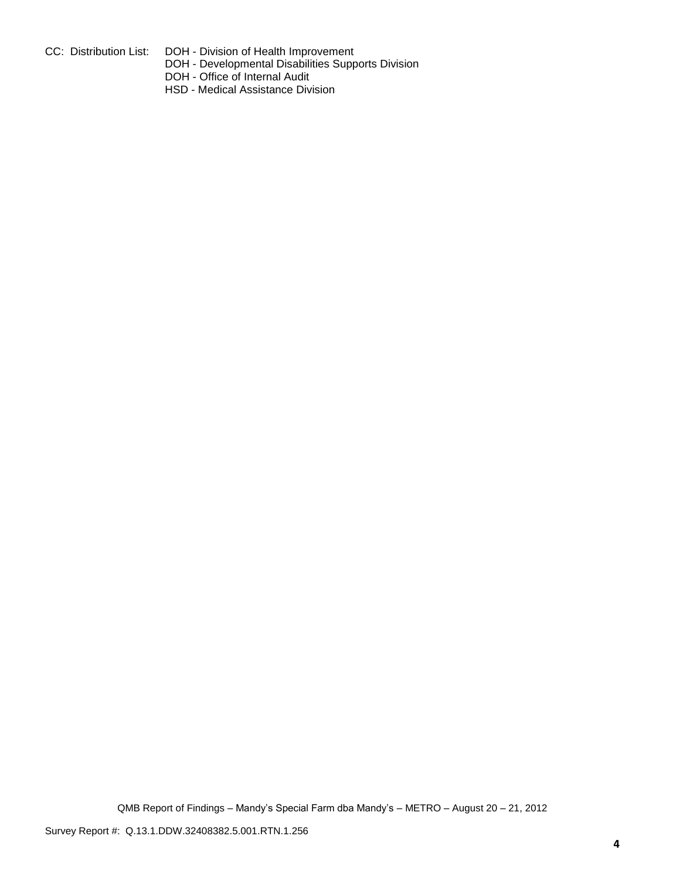- 
- CC: Distribution List: DOH Division of Health Improvement
	- DOH Developmental Disabilities Supports Division
	- DOH Office of Internal Audit
	- HSD Medical Assistance Division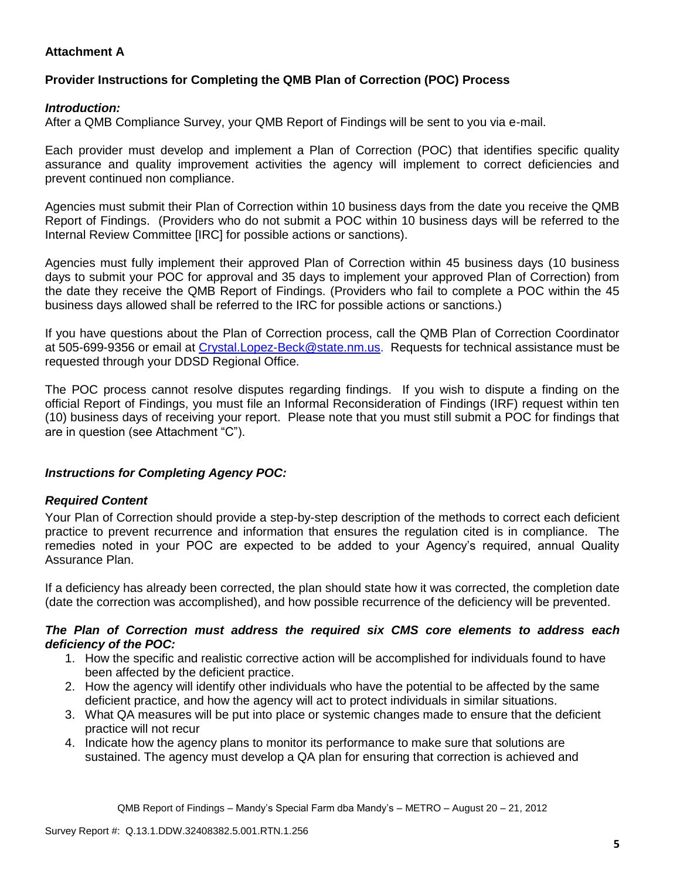# **Attachment A**

# **Provider Instructions for Completing the QMB Plan of Correction (POC) Process**

## *Introduction:*

After a QMB Compliance Survey, your QMB Report of Findings will be sent to you via e-mail.

Each provider must develop and implement a Plan of Correction (POC) that identifies specific quality assurance and quality improvement activities the agency will implement to correct deficiencies and prevent continued non compliance.

Agencies must submit their Plan of Correction within 10 business days from the date you receive the QMB Report of Findings. (Providers who do not submit a POC within 10 business days will be referred to the Internal Review Committee [IRC] for possible actions or sanctions).

Agencies must fully implement their approved Plan of Correction within 45 business days (10 business days to submit your POC for approval and 35 days to implement your approved Plan of Correction) from the date they receive the QMB Report of Findings. (Providers who fail to complete a POC within the 45 business days allowed shall be referred to the IRC for possible actions or sanctions.)

If you have questions about the Plan of Correction process, call the QMB Plan of Correction Coordinator at 505-699-9356 or email at Crystal.Lopez-Beck@state.nm.us. Requests for technical assistance must be requested through your DDSD Regional Office.

The POC process cannot resolve disputes regarding findings. If you wish to dispute a finding on the official Report of Findings, you must file an Informal Reconsideration of Findings (IRF) request within ten (10) business days of receiving your report. Please note that you must still submit a POC for findings that are in question (see Attachment "C").

## *Instructions for Completing Agency POC:*

## *Required Content*

Your Plan of Correction should provide a step-by-step description of the methods to correct each deficient practice to prevent recurrence and information that ensures the regulation cited is in compliance. The remedies noted in your POC are expected to be added to your Agency's required, annual Quality Assurance Plan.

If a deficiency has already been corrected, the plan should state how it was corrected, the completion date (date the correction was accomplished), and how possible recurrence of the deficiency will be prevented.

### *The Plan of Correction must address the required six CMS core elements to address each deficiency of the POC:*

- 1. How the specific and realistic corrective action will be accomplished for individuals found to have been affected by the deficient practice.
- 2. How the agency will identify other individuals who have the potential to be affected by the same deficient practice, and how the agency will act to protect individuals in similar situations.
- 3. What QA measures will be put into place or systemic changes made to ensure that the deficient practice will not recur
- 4. Indicate how the agency plans to monitor its performance to make sure that solutions are sustained. The agency must develop a QA plan for ensuring that correction is achieved and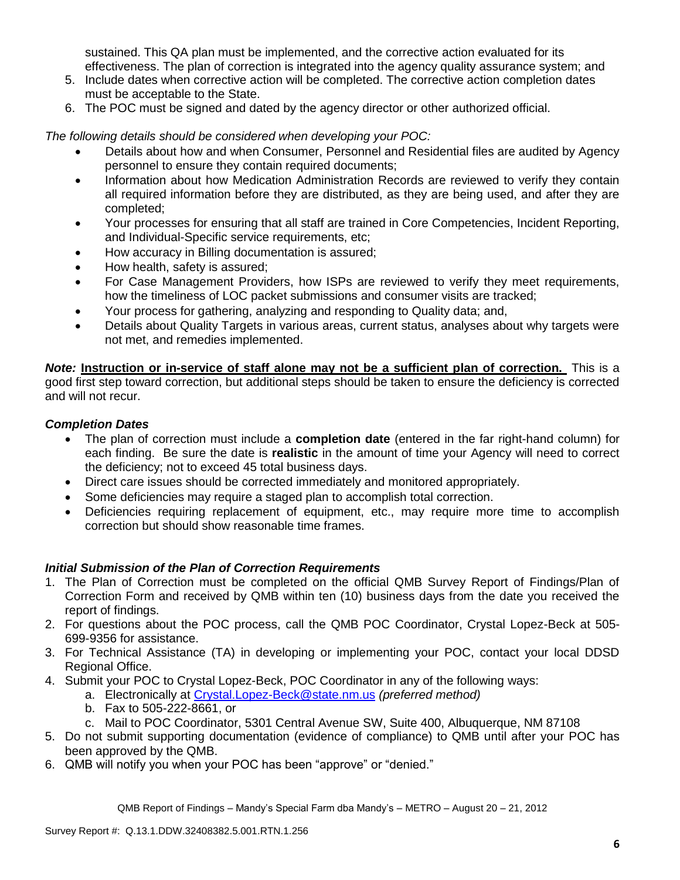sustained. This QA plan must be implemented, and the corrective action evaluated for its effectiveness. The plan of correction is integrated into the agency quality assurance system; and

- 5. Include dates when corrective action will be completed. The corrective action completion dates must be acceptable to the State.
- 6. The POC must be signed and dated by the agency director or other authorized official.

*The following details should be considered when developing your POC:*

- Details about how and when Consumer, Personnel and Residential files are audited by Agency personnel to ensure they contain required documents;
- Information about how Medication Administration Records are reviewed to verify they contain all required information before they are distributed, as they are being used, and after they are completed;
- Your processes for ensuring that all staff are trained in Core Competencies, Incident Reporting, and Individual-Specific service requirements, etc;
- How accuracy in Billing documentation is assured;
- How health, safety is assured;
- For Case Management Providers, how ISPs are reviewed to verify they meet requirements, how the timeliness of LOC packet submissions and consumer visits are tracked;
- Your process for gathering, analyzing and responding to Quality data; and,
- Details about Quality Targets in various areas, current status, analyses about why targets were not met, and remedies implemented.

*Note:* **Instruction or in-service of staff alone may not be a sufficient plan of correction.** This is a good first step toward correction, but additional steps should be taken to ensure the deficiency is corrected and will not recur.

## *Completion Dates*

- The plan of correction must include a **completion date** (entered in the far right-hand column) for each finding. Be sure the date is **realistic** in the amount of time your Agency will need to correct the deficiency; not to exceed 45 total business days.
- Direct care issues should be corrected immediately and monitored appropriately.
- Some deficiencies may require a staged plan to accomplish total correction.
- Deficiencies requiring replacement of equipment, etc., may require more time to accomplish correction but should show reasonable time frames.

## *Initial Submission of the Plan of Correction Requirements*

- 1. The Plan of Correction must be completed on the official QMB Survey Report of Findings/Plan of Correction Form and received by QMB within ten (10) business days from the date you received the report of findings.
- 2. For questions about the POC process, call the QMB POC Coordinator, Crystal Lopez-Beck at 505- 699-9356 for assistance.
- 3. For Technical Assistance (TA) in developing or implementing your POC, contact your local DDSD Regional Office.
- 4. Submit your POC to Crystal Lopez-Beck, POC Coordinator in any of the following ways:
	- a. Electronically at Crystal.Lopez-Beck@state.nm.us *(preferred method)*
	- b. Fax to 505-222-8661, or
	- c. Mail to POC Coordinator, 5301 Central Avenue SW, Suite 400, Albuquerque, NM 87108
- 5. Do not submit supporting documentation (evidence of compliance) to QMB until after your POC has been approved by the QMB.
- 6. QMB will notify you when your POC has been "approve" or "denied."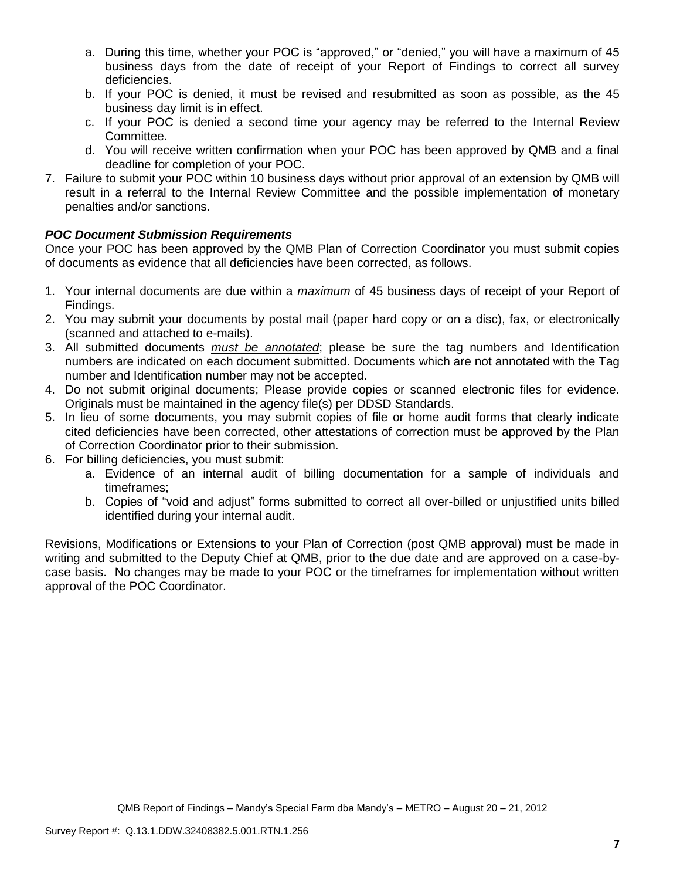- a. During this time, whether your POC is "approved," or "denied," you will have a maximum of 45 business days from the date of receipt of your Report of Findings to correct all survey deficiencies.
- b. If your POC is denied, it must be revised and resubmitted as soon as possible, as the 45 business day limit is in effect.
- c. If your POC is denied a second time your agency may be referred to the Internal Review Committee.
- d. You will receive written confirmation when your POC has been approved by QMB and a final deadline for completion of your POC.
- 7. Failure to submit your POC within 10 business days without prior approval of an extension by QMB will result in a referral to the Internal Review Committee and the possible implementation of monetary penalties and/or sanctions.

# *POC Document Submission Requirements*

Once your POC has been approved by the QMB Plan of Correction Coordinator you must submit copies of documents as evidence that all deficiencies have been corrected, as follows.

- 1. Your internal documents are due within a *maximum* of 45 business days of receipt of your Report of Findings.
- 2. You may submit your documents by postal mail (paper hard copy or on a disc), fax, or electronically (scanned and attached to e-mails).
- 3. All submitted documents *must be annotated*; please be sure the tag numbers and Identification numbers are indicated on each document submitted. Documents which are not annotated with the Tag number and Identification number may not be accepted.
- 4. Do not submit original documents; Please provide copies or scanned electronic files for evidence. Originals must be maintained in the agency file(s) per DDSD Standards.
- 5. In lieu of some documents, you may submit copies of file or home audit forms that clearly indicate cited deficiencies have been corrected, other attestations of correction must be approved by the Plan of Correction Coordinator prior to their submission.
- 6. For billing deficiencies, you must submit:
	- a. Evidence of an internal audit of billing documentation for a sample of individuals and timeframes;
	- b. Copies of "void and adjust" forms submitted to correct all over-billed or unjustified units billed identified during your internal audit.

Revisions, Modifications or Extensions to your Plan of Correction (post QMB approval) must be made in writing and submitted to the Deputy Chief at QMB, prior to the due date and are approved on a case-bycase basis. No changes may be made to your POC or the timeframes for implementation without written approval of the POC Coordinator.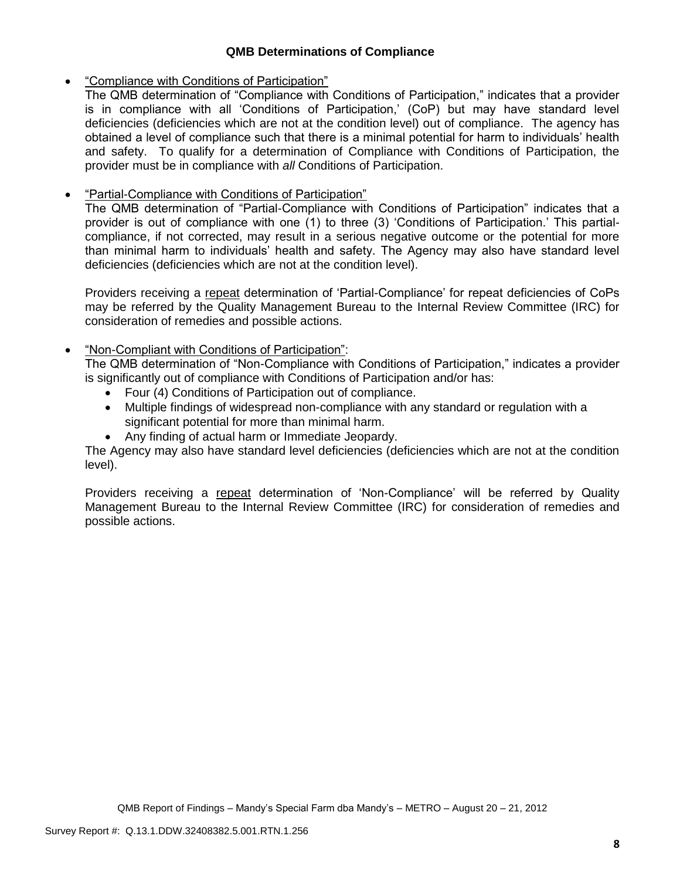## **QMB Determinations of Compliance**

## "Compliance with Conditions of Participation"

The QMB determination of "Compliance with Conditions of Participation," indicates that a provider is in compliance with all 'Conditions of Participation,' (CoP) but may have standard level deficiencies (deficiencies which are not at the condition level) out of compliance. The agency has obtained a level of compliance such that there is a minimal potential for harm to individuals' health and safety. To qualify for a determination of Compliance with Conditions of Participation, the provider must be in compliance with *all* Conditions of Participation.

# "Partial-Compliance with Conditions of Participation"

The QMB determination of "Partial-Compliance with Conditions of Participation" indicates that a provider is out of compliance with one (1) to three (3) 'Conditions of Participation.' This partialcompliance, if not corrected, may result in a serious negative outcome or the potential for more than minimal harm to individuals' health and safety. The Agency may also have standard level deficiencies (deficiencies which are not at the condition level).

Providers receiving a repeat determination of 'Partial-Compliance' for repeat deficiencies of CoPs may be referred by the Quality Management Bureau to the Internal Review Committee (IRC) for consideration of remedies and possible actions.

# "Non-Compliant with Conditions of Participation":

The QMB determination of "Non-Compliance with Conditions of Participation," indicates a provider is significantly out of compliance with Conditions of Participation and/or has:

- Four (4) Conditions of Participation out of compliance.
- Multiple findings of widespread non-compliance with any standard or regulation with a significant potential for more than minimal harm.
- Any finding of actual harm or Immediate Jeopardy.

The Agency may also have standard level deficiencies (deficiencies which are not at the condition level).

Providers receiving a repeat determination of 'Non-Compliance' will be referred by Quality Management Bureau to the Internal Review Committee (IRC) for consideration of remedies and possible actions.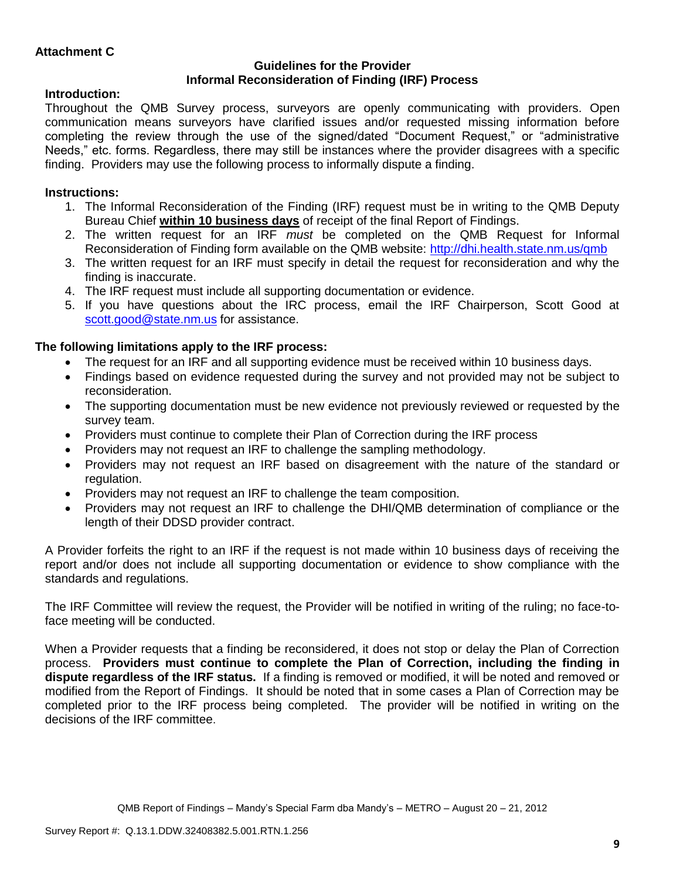### **Guidelines for the Provider Informal Reconsideration of Finding (IRF) Process**

# **Introduction:**

Throughout the QMB Survey process, surveyors are openly communicating with providers. Open communication means surveyors have clarified issues and/or requested missing information before completing the review through the use of the signed/dated "Document Request," or "administrative Needs," etc. forms. Regardless, there may still be instances where the provider disagrees with a specific finding. Providers may use the following process to informally dispute a finding.

# **Instructions:**

- 1. The Informal Reconsideration of the Finding (IRF) request must be in writing to the QMB Deputy Bureau Chief **within 10 business days** of receipt of the final Report of Findings.
- 2. The written request for an IRF *must* be completed on the QMB Request for Informal Reconsideration of Finding form available on the QMB website:<http://dhi.health.state.nm.us/qmb>
- 3. The written request for an IRF must specify in detail the request for reconsideration and why the finding is inaccurate.
- 4. The IRF request must include all supporting documentation or evidence.
- 5. If you have questions about the IRC process, email the IRF Chairperson, Scott Good at [scott.good@state.nm.us](mailto:scott.good@state.nm.us) for assistance.

# **The following limitations apply to the IRF process:**

- The request for an IRF and all supporting evidence must be received within 10 business days.
- Findings based on evidence requested during the survey and not provided may not be subject to reconsideration.
- The supporting documentation must be new evidence not previously reviewed or requested by the survey team.
- Providers must continue to complete their Plan of Correction during the IRF process
- Providers may not request an IRF to challenge the sampling methodology.
- Providers may not request an IRF based on disagreement with the nature of the standard or regulation.
- Providers may not request an IRF to challenge the team composition.
- Providers may not request an IRF to challenge the DHI/QMB determination of compliance or the length of their DDSD provider contract.

A Provider forfeits the right to an IRF if the request is not made within 10 business days of receiving the report and/or does not include all supporting documentation or evidence to show compliance with the standards and regulations.

The IRF Committee will review the request, the Provider will be notified in writing of the ruling; no face-toface meeting will be conducted.

When a Provider requests that a finding be reconsidered, it does not stop or delay the Plan of Correction process. **Providers must continue to complete the Plan of Correction, including the finding in dispute regardless of the IRF status.** If a finding is removed or modified, it will be noted and removed or modified from the Report of Findings. It should be noted that in some cases a Plan of Correction may be completed prior to the IRF process being completed. The provider will be notified in writing on the decisions of the IRF committee.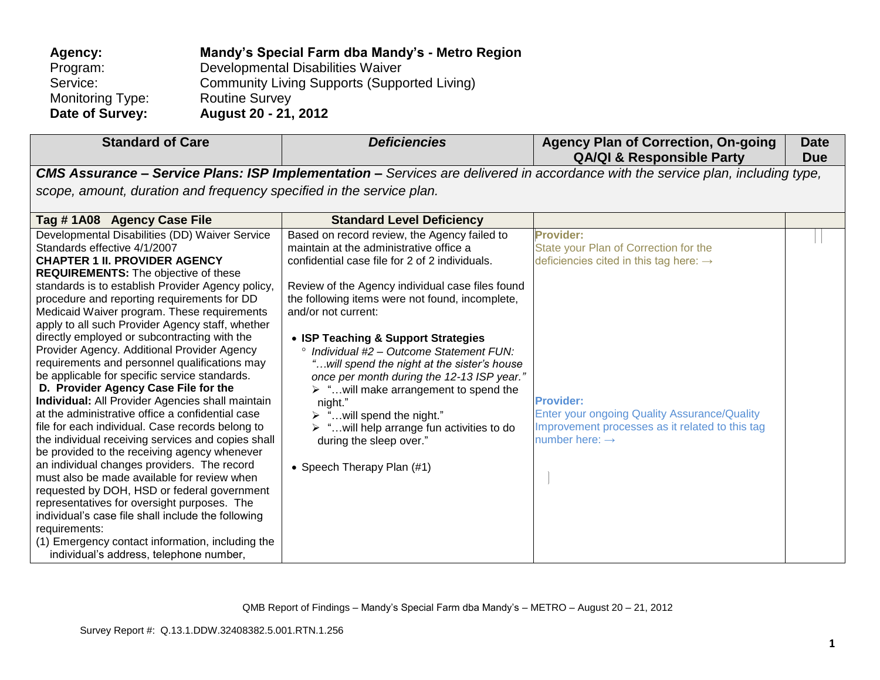| Agency:                 | Mandy's Special Farm dba Mandy's - Metro Region |
|-------------------------|-------------------------------------------------|
| Program:                | Developmental Disabilities Waiver               |
| Service:                | Community Living Supports (Supported Living)    |
| <b>Monitoring Type:</b> | <b>Routine Survey</b>                           |
| Date of Survey:         | August 20 - 21, 2012                            |

| <b>Standard of Care</b>                                                                                                                                                                                                                                                                                                                                                                                                                                                                                                                                                                                                                                                                                                                                                                                                                                                                                                                                                                                                                                                                                                                                                                                                                                          | <b>Deficiencies</b>                                                                                                                                                                                                                                                                                                                                                                                                                                                                                                                                                                                                                                                                        | <b>Agency Plan of Correction, On-going</b><br><b>QA/QI &amp; Responsible Party</b>                                                                                                                                                                                          | <b>Date</b><br><b>Due</b> |
|------------------------------------------------------------------------------------------------------------------------------------------------------------------------------------------------------------------------------------------------------------------------------------------------------------------------------------------------------------------------------------------------------------------------------------------------------------------------------------------------------------------------------------------------------------------------------------------------------------------------------------------------------------------------------------------------------------------------------------------------------------------------------------------------------------------------------------------------------------------------------------------------------------------------------------------------------------------------------------------------------------------------------------------------------------------------------------------------------------------------------------------------------------------------------------------------------------------------------------------------------------------|--------------------------------------------------------------------------------------------------------------------------------------------------------------------------------------------------------------------------------------------------------------------------------------------------------------------------------------------------------------------------------------------------------------------------------------------------------------------------------------------------------------------------------------------------------------------------------------------------------------------------------------------------------------------------------------------|-----------------------------------------------------------------------------------------------------------------------------------------------------------------------------------------------------------------------------------------------------------------------------|---------------------------|
|                                                                                                                                                                                                                                                                                                                                                                                                                                                                                                                                                                                                                                                                                                                                                                                                                                                                                                                                                                                                                                                                                                                                                                                                                                                                  |                                                                                                                                                                                                                                                                                                                                                                                                                                                                                                                                                                                                                                                                                            | <b>CMS Assurance – Service Plans: ISP Implementation –</b> Services are delivered in accordance with the service plan, including type,                                                                                                                                      |                           |
| scope, amount, duration and frequency specified in the service plan.                                                                                                                                                                                                                                                                                                                                                                                                                                                                                                                                                                                                                                                                                                                                                                                                                                                                                                                                                                                                                                                                                                                                                                                             |                                                                                                                                                                                                                                                                                                                                                                                                                                                                                                                                                                                                                                                                                            |                                                                                                                                                                                                                                                                             |                           |
| Tag # 1A08 Agency Case File                                                                                                                                                                                                                                                                                                                                                                                                                                                                                                                                                                                                                                                                                                                                                                                                                                                                                                                                                                                                                                                                                                                                                                                                                                      | <b>Standard Level Deficiency</b>                                                                                                                                                                                                                                                                                                                                                                                                                                                                                                                                                                                                                                                           |                                                                                                                                                                                                                                                                             |                           |
| Developmental Disabilities (DD) Waiver Service<br>Standards effective 4/1/2007<br><b>CHAPTER 1 II. PROVIDER AGENCY</b><br><b>REQUIREMENTS:</b> The objective of these<br>standards is to establish Provider Agency policy,<br>procedure and reporting requirements for DD<br>Medicaid Waiver program. These requirements<br>apply to all such Provider Agency staff, whether<br>directly employed or subcontracting with the<br>Provider Agency. Additional Provider Agency<br>requirements and personnel qualifications may<br>be applicable for specific service standards.<br>D. Provider Agency Case File for the<br><b>Individual:</b> All Provider Agencies shall maintain<br>at the administrative office a confidential case<br>file for each individual. Case records belong to<br>the individual receiving services and copies shall<br>be provided to the receiving agency whenever<br>an individual changes providers. The record<br>must also be made available for review when<br>requested by DOH, HSD or federal government<br>representatives for oversight purposes. The<br>individual's case file shall include the following<br>requirements:<br>(1) Emergency contact information, including the<br>individual's address, telephone number, | Based on record review, the Agency failed to<br>maintain at the administrative office a<br>confidential case file for 2 of 2 individuals.<br>Review of the Agency individual case files found<br>the following items were not found, incomplete,<br>and/or not current:<br>• ISP Teaching & Support Strategies<br><sup>o</sup> Individual #2 - Outcome Statement FUN:<br>" will spend the night at the sister's house<br>once per month during the 12-13 ISP year."<br>$\triangleright$ " will make arrangement to spend the<br>night."<br>> "will spend the night."<br>$\triangleright$ " will help arrange fun activities to do<br>during the sleep over."<br>• Speech Therapy Plan (#1) | <b>Provider:</b><br>State your Plan of Correction for the<br>deficiencies cited in this tag here: $\rightarrow$<br><b>Provider:</b><br><b>Enter your ongoing Quality Assurance/Quality</b><br>Improvement processes as it related to this tag<br>number here: $\rightarrow$ |                           |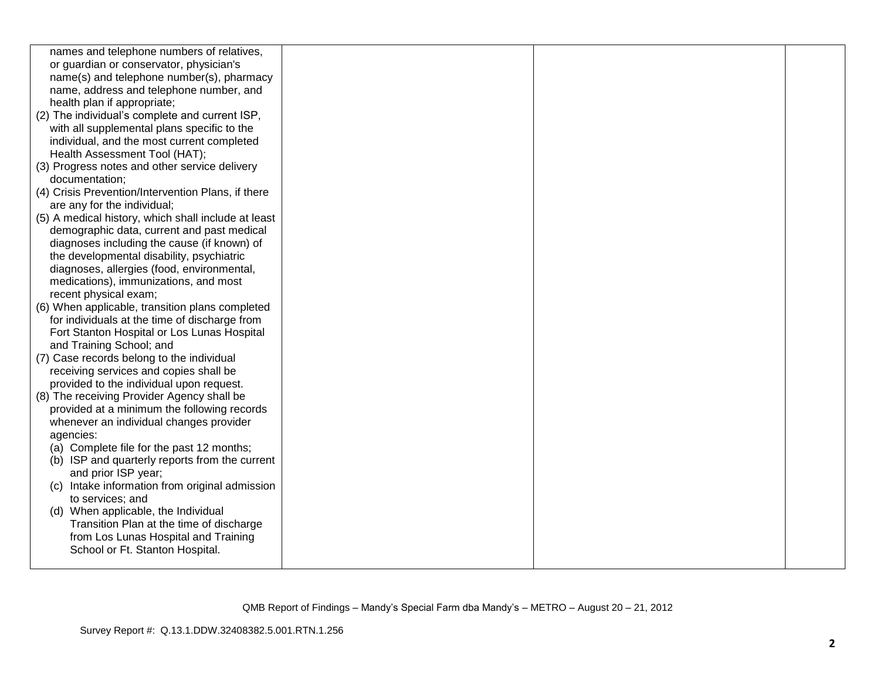| names and telephone numbers of relatives,           |  |  |
|-----------------------------------------------------|--|--|
|                                                     |  |  |
| or guardian or conservator, physician's             |  |  |
| name(s) and telephone number(s), pharmacy           |  |  |
| name, address and telephone number, and             |  |  |
| health plan if appropriate;                         |  |  |
| (2) The individual's complete and current ISP,      |  |  |
| with all supplemental plans specific to the         |  |  |
| individual, and the most current completed          |  |  |
| Health Assessment Tool (HAT);                       |  |  |
| (3) Progress notes and other service delivery       |  |  |
| documentation;                                      |  |  |
| (4) Crisis Prevention/Intervention Plans, if there  |  |  |
| are any for the individual;                         |  |  |
| (5) A medical history, which shall include at least |  |  |
| demographic data, current and past medical          |  |  |
| diagnoses including the cause (if known) of         |  |  |
|                                                     |  |  |
| the developmental disability, psychiatric           |  |  |
| diagnoses, allergies (food, environmental,          |  |  |
| medications), immunizations, and most               |  |  |
| recent physical exam;                               |  |  |
| (6) When applicable, transition plans completed     |  |  |
| for individuals at the time of discharge from       |  |  |
| Fort Stanton Hospital or Los Lunas Hospital         |  |  |
| and Training School; and                            |  |  |
| (7) Case records belong to the individual           |  |  |
| receiving services and copies shall be              |  |  |
| provided to the individual upon request.            |  |  |
| (8) The receiving Provider Agency shall be          |  |  |
| provided at a minimum the following records         |  |  |
| whenever an individual changes provider             |  |  |
| agencies:                                           |  |  |
| (a) Complete file for the past 12 months;           |  |  |
| (b) ISP and quarterly reports from the current      |  |  |
| and prior ISP year;                                 |  |  |
| (c) Intake information from original admission      |  |  |
| to services; and                                    |  |  |
|                                                     |  |  |
| (d) When applicable, the Individual                 |  |  |
| Transition Plan at the time of discharge            |  |  |
| from Los Lunas Hospital and Training                |  |  |
| School or Ft. Stanton Hospital.                     |  |  |
|                                                     |  |  |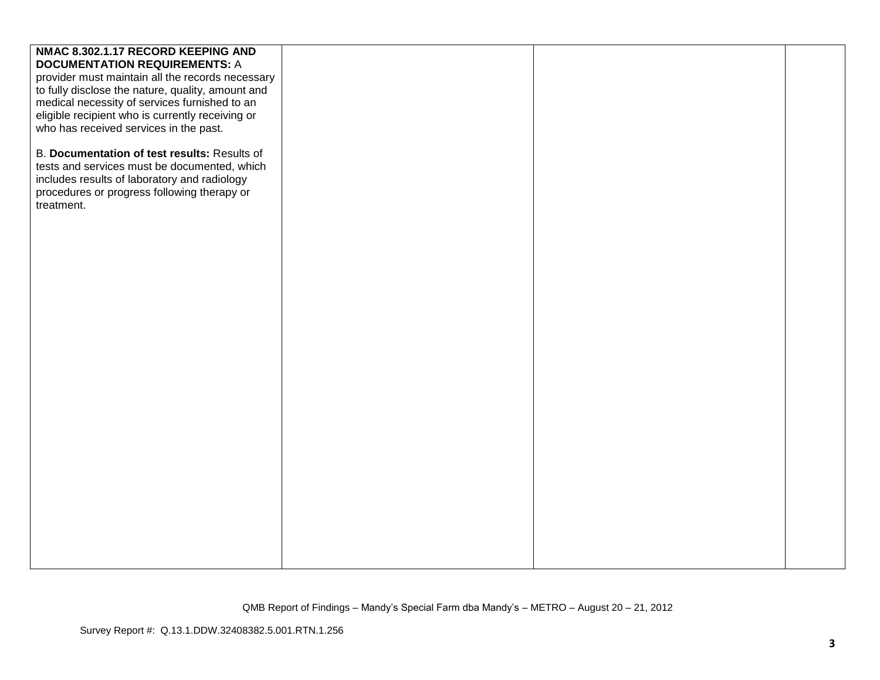| NMAC 8.302.1.17 RECORD KEEPING AND                |  |  |
|---------------------------------------------------|--|--|
| <b>DOCUMENTATION REQUIREMENTS: A</b>              |  |  |
| provider must maintain all the records necessary  |  |  |
| to fully disclose the nature, quality, amount and |  |  |
| medical necessity of services furnished to an     |  |  |
| eligible recipient who is currently receiving or  |  |  |
| who has received services in the past.            |  |  |
|                                                   |  |  |
| B. Documentation of test results: Results of      |  |  |
| tests and services must be documented, which      |  |  |
| includes results of laboratory and radiology      |  |  |
| procedures or progress following therapy or       |  |  |
| treatment.                                        |  |  |
|                                                   |  |  |
|                                                   |  |  |
|                                                   |  |  |
|                                                   |  |  |
|                                                   |  |  |
|                                                   |  |  |
|                                                   |  |  |
|                                                   |  |  |
|                                                   |  |  |
|                                                   |  |  |
|                                                   |  |  |
|                                                   |  |  |
|                                                   |  |  |
|                                                   |  |  |
|                                                   |  |  |
|                                                   |  |  |
|                                                   |  |  |
|                                                   |  |  |
|                                                   |  |  |
|                                                   |  |  |
|                                                   |  |  |
|                                                   |  |  |
|                                                   |  |  |
|                                                   |  |  |
|                                                   |  |  |
|                                                   |  |  |
|                                                   |  |  |
|                                                   |  |  |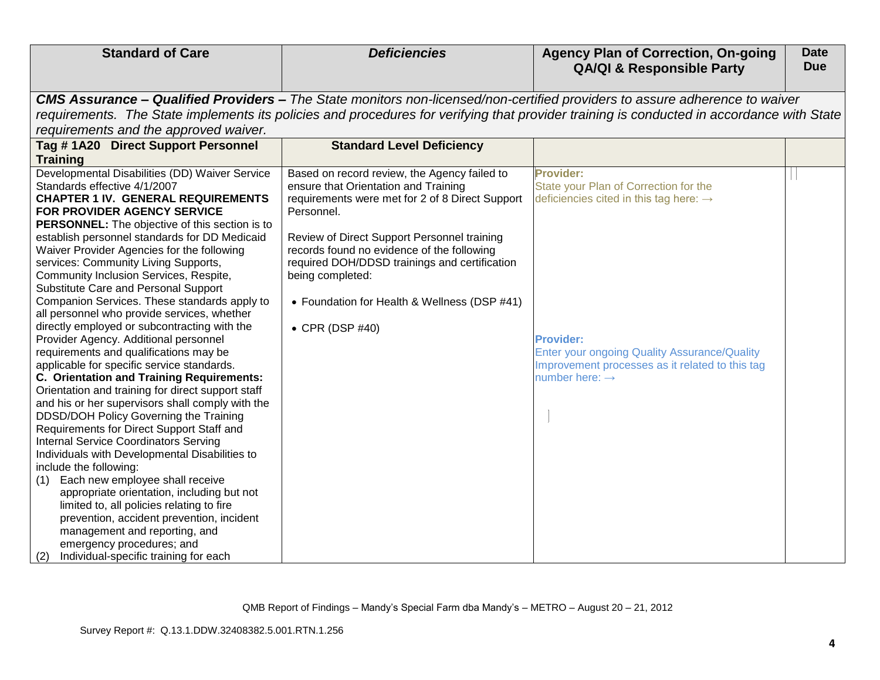| <b>Standard of Care</b>                                                              | <b>Deficiencies</b>                             | <b>Agency Plan of Correction, On-going</b>                                                                                                | <b>Date</b> |
|--------------------------------------------------------------------------------------|-------------------------------------------------|-------------------------------------------------------------------------------------------------------------------------------------------|-------------|
|                                                                                      |                                                 | <b>QA/QI &amp; Responsible Party</b>                                                                                                      | <b>Due</b>  |
|                                                                                      |                                                 |                                                                                                                                           |             |
|                                                                                      |                                                 | CMS Assurance - Qualified Providers - The State monitors non-licensed/non-certified providers to assure adherence to waiver               |             |
|                                                                                      |                                                 | requirements. The State implements its policies and procedures for verifying that provider training is conducted in accordance with State |             |
| requirements and the approved waiver.                                                |                                                 |                                                                                                                                           |             |
| Tag #1A20 Direct Support Personnel                                                   | <b>Standard Level Deficiency</b>                |                                                                                                                                           |             |
| <b>Training</b>                                                                      |                                                 |                                                                                                                                           |             |
| Developmental Disabilities (DD) Waiver Service                                       | Based on record review, the Agency failed to    | <b>Provider:</b>                                                                                                                          |             |
| Standards effective 4/1/2007                                                         | ensure that Orientation and Training            | State your Plan of Correction for the                                                                                                     |             |
| <b>CHAPTER 1 IV. GENERAL REQUIREMENTS</b>                                            | requirements were met for 2 of 8 Direct Support | deficiencies cited in this tag here: $\rightarrow$                                                                                        |             |
| FOR PROVIDER AGENCY SERVICE                                                          | Personnel.                                      |                                                                                                                                           |             |
| <b>PERSONNEL:</b> The objective of this section is to                                |                                                 |                                                                                                                                           |             |
| establish personnel standards for DD Medicaid                                        | Review of Direct Support Personnel training     |                                                                                                                                           |             |
| Waiver Provider Agencies for the following                                           | records found no evidence of the following      |                                                                                                                                           |             |
| services: Community Living Supports,                                                 | required DOH/DDSD trainings and certification   |                                                                                                                                           |             |
| Community Inclusion Services, Respite,                                               | being completed:                                |                                                                                                                                           |             |
| Substitute Care and Personal Support<br>Companion Services. These standards apply to |                                                 |                                                                                                                                           |             |
| all personnel who provide services, whether                                          | • Foundation for Health & Wellness (DSP #41)    |                                                                                                                                           |             |
| directly employed or subcontracting with the                                         | • CPR (DSP #40)                                 |                                                                                                                                           |             |
| Provider Agency. Additional personnel                                                |                                                 | <b>Provider:</b>                                                                                                                          |             |
| requirements and qualifications may be                                               |                                                 | <b>Enter your ongoing Quality Assurance/Quality</b>                                                                                       |             |
| applicable for specific service standards.                                           |                                                 | Improvement processes as it related to this tag                                                                                           |             |
| C. Orientation and Training Requirements:                                            |                                                 | number here: $\rightarrow$                                                                                                                |             |
| Orientation and training for direct support staff                                    |                                                 |                                                                                                                                           |             |
| and his or her supervisors shall comply with the                                     |                                                 |                                                                                                                                           |             |
| DDSD/DOH Policy Governing the Training                                               |                                                 |                                                                                                                                           |             |
| Requirements for Direct Support Staff and                                            |                                                 |                                                                                                                                           |             |
| <b>Internal Service Coordinators Serving</b>                                         |                                                 |                                                                                                                                           |             |
| Individuals with Developmental Disabilities to                                       |                                                 |                                                                                                                                           |             |
| include the following:                                                               |                                                 |                                                                                                                                           |             |
| Each new employee shall receive<br>(1)                                               |                                                 |                                                                                                                                           |             |
| appropriate orientation, including but not                                           |                                                 |                                                                                                                                           |             |
| limited to, all policies relating to fire                                            |                                                 |                                                                                                                                           |             |
| prevention, accident prevention, incident                                            |                                                 |                                                                                                                                           |             |
| management and reporting, and                                                        |                                                 |                                                                                                                                           |             |
| emergency procedures; and                                                            |                                                 |                                                                                                                                           |             |
| Individual-specific training for each<br>(2)                                         |                                                 |                                                                                                                                           |             |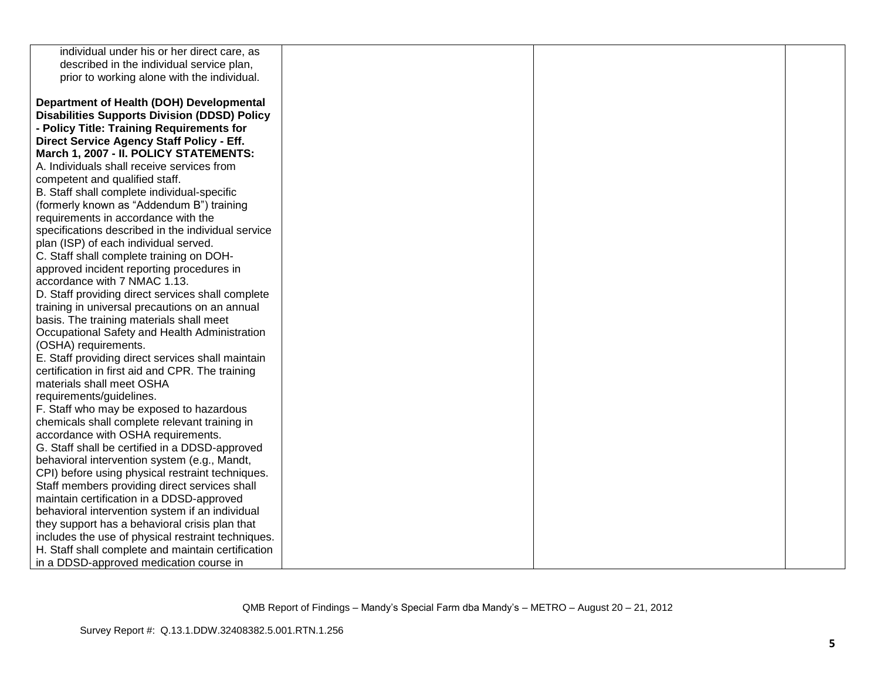| individual under his or her direct care, as         |  |  |
|-----------------------------------------------------|--|--|
| described in the individual service plan,           |  |  |
| prior to working alone with the individual.         |  |  |
|                                                     |  |  |
| Department of Health (DOH) Developmental            |  |  |
| <b>Disabilities Supports Division (DDSD) Policy</b> |  |  |
| - Policy Title: Training Requirements for           |  |  |
| Direct Service Agency Staff Policy - Eff.           |  |  |
| March 1, 2007 - II. POLICY STATEMENTS:              |  |  |
| A. Individuals shall receive services from          |  |  |
| competent and qualified staff.                      |  |  |
| B. Staff shall complete individual-specific         |  |  |
| (formerly known as "Addendum B") training           |  |  |
| requirements in accordance with the                 |  |  |
| specifications described in the individual service  |  |  |
| plan (ISP) of each individual served.               |  |  |
| C. Staff shall complete training on DOH-            |  |  |
| approved incident reporting procedures in           |  |  |
| accordance with 7 NMAC 1.13.                        |  |  |
| D. Staff providing direct services shall complete   |  |  |
| training in universal precautions on an annual      |  |  |
| basis. The training materials shall meet            |  |  |
| Occupational Safety and Health Administration       |  |  |
| (OSHA) requirements.                                |  |  |
| E. Staff providing direct services shall maintain   |  |  |
| certification in first aid and CPR. The training    |  |  |
| materials shall meet OSHA                           |  |  |
| requirements/guidelines.                            |  |  |
| F. Staff who may be exposed to hazardous            |  |  |
| chemicals shall complete relevant training in       |  |  |
| accordance with OSHA requirements.                  |  |  |
| G. Staff shall be certified in a DDSD-approved      |  |  |
| behavioral intervention system (e.g., Mandt,        |  |  |
| CPI) before using physical restraint techniques.    |  |  |
| Staff members providing direct services shall       |  |  |
| maintain certification in a DDSD-approved           |  |  |
| behavioral intervention system if an individual     |  |  |
| they support has a behavioral crisis plan that      |  |  |
| includes the use of physical restraint techniques.  |  |  |
| H. Staff shall complete and maintain certification  |  |  |
| in a DDSD-approved medication course in             |  |  |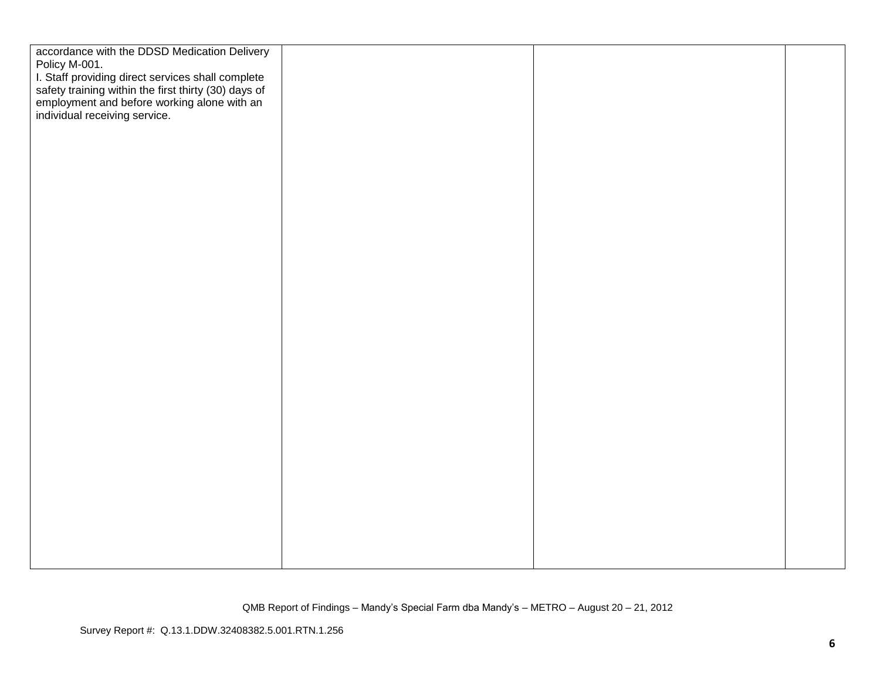| accordance with the DDSD Medication Delivery                                                                                                                                              |  |  |
|-------------------------------------------------------------------------------------------------------------------------------------------------------------------------------------------|--|--|
| Policy M-001.                                                                                                                                                                             |  |  |
| I. Staff providing direct services shall complete<br>safety training within the first thirty (30) days of<br>employment and before working alone with an<br>individual receiving service. |  |  |
|                                                                                                                                                                                           |  |  |
|                                                                                                                                                                                           |  |  |
|                                                                                                                                                                                           |  |  |
|                                                                                                                                                                                           |  |  |
|                                                                                                                                                                                           |  |  |
|                                                                                                                                                                                           |  |  |
|                                                                                                                                                                                           |  |  |
|                                                                                                                                                                                           |  |  |
|                                                                                                                                                                                           |  |  |
|                                                                                                                                                                                           |  |  |
|                                                                                                                                                                                           |  |  |
|                                                                                                                                                                                           |  |  |
|                                                                                                                                                                                           |  |  |
|                                                                                                                                                                                           |  |  |
|                                                                                                                                                                                           |  |  |
|                                                                                                                                                                                           |  |  |
|                                                                                                                                                                                           |  |  |
|                                                                                                                                                                                           |  |  |
|                                                                                                                                                                                           |  |  |
|                                                                                                                                                                                           |  |  |
|                                                                                                                                                                                           |  |  |
|                                                                                                                                                                                           |  |  |
|                                                                                                                                                                                           |  |  |
|                                                                                                                                                                                           |  |  |
|                                                                                                                                                                                           |  |  |
|                                                                                                                                                                                           |  |  |
|                                                                                                                                                                                           |  |  |
|                                                                                                                                                                                           |  |  |
|                                                                                                                                                                                           |  |  |
|                                                                                                                                                                                           |  |  |
|                                                                                                                                                                                           |  |  |
|                                                                                                                                                                                           |  |  |
|                                                                                                                                                                                           |  |  |
|                                                                                                                                                                                           |  |  |
|                                                                                                                                                                                           |  |  |
|                                                                                                                                                                                           |  |  |
|                                                                                                                                                                                           |  |  |
|                                                                                                                                                                                           |  |  |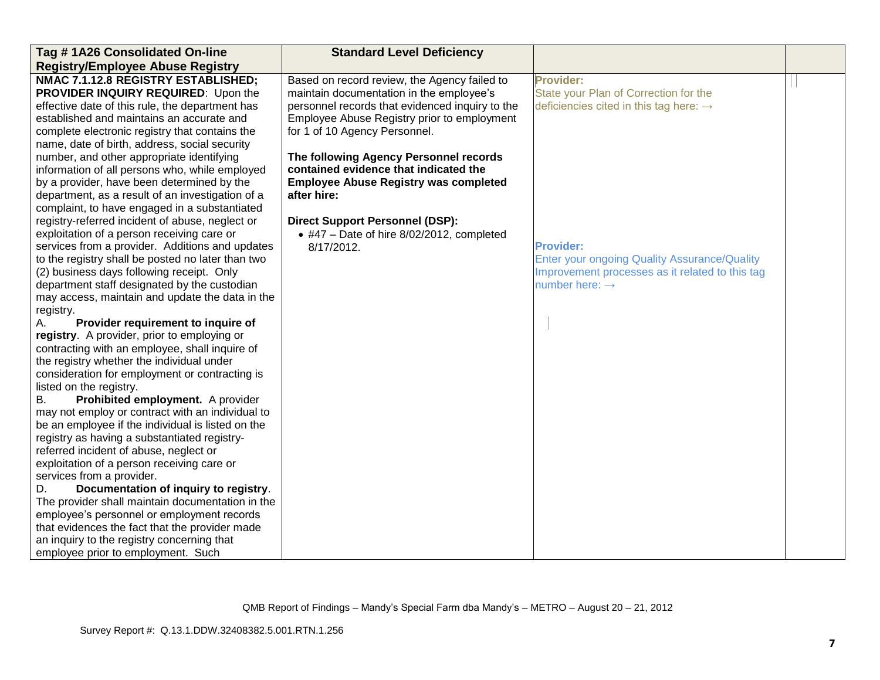| Tag #1A26 Consolidated On-line                    | <b>Standard Level Deficiency</b>                  |                                                    |  |
|---------------------------------------------------|---------------------------------------------------|----------------------------------------------------|--|
| <b>Registry/Employee Abuse Registry</b>           |                                                   |                                                    |  |
| NMAC 7.1.12.8 REGISTRY ESTABLISHED;               | Based on record review, the Agency failed to      | <b>Provider:</b>                                   |  |
| PROVIDER INQUIRY REQUIRED: Upon the               | maintain documentation in the employee's          | State your Plan of Correction for the              |  |
| effective date of this rule, the department has   | personnel records that evidenced inquiry to the   | deficiencies cited in this tag here: $\rightarrow$ |  |
| established and maintains an accurate and         | Employee Abuse Registry prior to employment       |                                                    |  |
| complete electronic registry that contains the    | for 1 of 10 Agency Personnel.                     |                                                    |  |
| name, date of birth, address, social security     |                                                   |                                                    |  |
| number, and other appropriate identifying         | The following Agency Personnel records            |                                                    |  |
| information of all persons who, while employed    | contained evidence that indicated the             |                                                    |  |
| by a provider, have been determined by the        | <b>Employee Abuse Registry was completed</b>      |                                                    |  |
| department, as a result of an investigation of a  | after hire:                                       |                                                    |  |
| complaint, to have engaged in a substantiated     |                                                   |                                                    |  |
| registry-referred incident of abuse, neglect or   | <b>Direct Support Personnel (DSP):</b>            |                                                    |  |
| exploitation of a person receiving care or        | $\bullet$ #47 - Date of hire 8/02/2012, completed |                                                    |  |
| services from a provider. Additions and updates   | 8/17/2012.                                        | <b>Provider:</b>                                   |  |
| to the registry shall be posted no later than two |                                                   | Enter your ongoing Quality Assurance/Quality       |  |
| (2) business days following receipt. Only         |                                                   | Improvement processes as it related to this tag    |  |
| department staff designated by the custodian      |                                                   | number here: $\rightarrow$                         |  |
| may access, maintain and update the data in the   |                                                   |                                                    |  |
| registry.                                         |                                                   |                                                    |  |
| Provider requirement to inquire of<br>А.          |                                                   |                                                    |  |
| registry. A provider, prior to employing or       |                                                   |                                                    |  |
| contracting with an employee, shall inquire of    |                                                   |                                                    |  |
| the registry whether the individual under         |                                                   |                                                    |  |
| consideration for employment or contracting is    |                                                   |                                                    |  |
| listed on the registry.                           |                                                   |                                                    |  |
| Prohibited employment. A provider<br>В.           |                                                   |                                                    |  |
| may not employ or contract with an individual to  |                                                   |                                                    |  |
| be an employee if the individual is listed on the |                                                   |                                                    |  |
| registry as having a substantiated registry-      |                                                   |                                                    |  |
| referred incident of abuse, neglect or            |                                                   |                                                    |  |
| exploitation of a person receiving care or        |                                                   |                                                    |  |
| services from a provider.                         |                                                   |                                                    |  |
| Documentation of inquiry to registry.<br>D.       |                                                   |                                                    |  |
| The provider shall maintain documentation in the  |                                                   |                                                    |  |
| employee's personnel or employment records        |                                                   |                                                    |  |
| that evidences the fact that the provider made    |                                                   |                                                    |  |
| an inquiry to the registry concerning that        |                                                   |                                                    |  |
| employee prior to employment. Such                |                                                   |                                                    |  |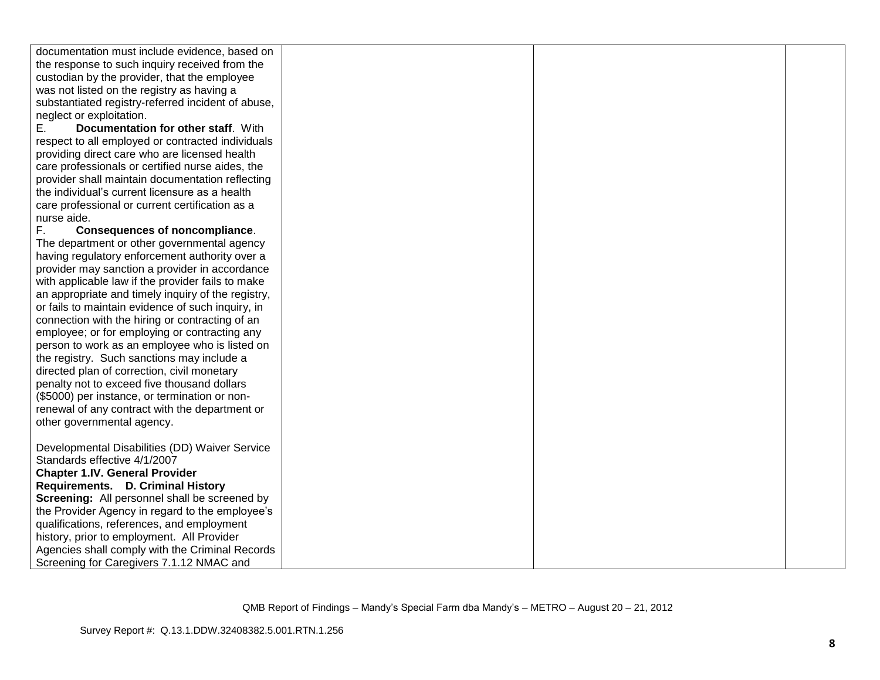| documentation must include evidence, based on                                                                                                                                                                                                                                                                                                                                                                                                                                                                                                                                                                                                                                                                                                                                                                                                                                                                                                                                                                                                                                                                                                                                                                                                                                                                                                                                                                                                                                                                                                                                                                                                                                                                                                          |  |  |
|--------------------------------------------------------------------------------------------------------------------------------------------------------------------------------------------------------------------------------------------------------------------------------------------------------------------------------------------------------------------------------------------------------------------------------------------------------------------------------------------------------------------------------------------------------------------------------------------------------------------------------------------------------------------------------------------------------------------------------------------------------------------------------------------------------------------------------------------------------------------------------------------------------------------------------------------------------------------------------------------------------------------------------------------------------------------------------------------------------------------------------------------------------------------------------------------------------------------------------------------------------------------------------------------------------------------------------------------------------------------------------------------------------------------------------------------------------------------------------------------------------------------------------------------------------------------------------------------------------------------------------------------------------------------------------------------------------------------------------------------------------|--|--|
| the response to such inquiry received from the                                                                                                                                                                                                                                                                                                                                                                                                                                                                                                                                                                                                                                                                                                                                                                                                                                                                                                                                                                                                                                                                                                                                                                                                                                                                                                                                                                                                                                                                                                                                                                                                                                                                                                         |  |  |
|                                                                                                                                                                                                                                                                                                                                                                                                                                                                                                                                                                                                                                                                                                                                                                                                                                                                                                                                                                                                                                                                                                                                                                                                                                                                                                                                                                                                                                                                                                                                                                                                                                                                                                                                                        |  |  |
|                                                                                                                                                                                                                                                                                                                                                                                                                                                                                                                                                                                                                                                                                                                                                                                                                                                                                                                                                                                                                                                                                                                                                                                                                                                                                                                                                                                                                                                                                                                                                                                                                                                                                                                                                        |  |  |
|                                                                                                                                                                                                                                                                                                                                                                                                                                                                                                                                                                                                                                                                                                                                                                                                                                                                                                                                                                                                                                                                                                                                                                                                                                                                                                                                                                                                                                                                                                                                                                                                                                                                                                                                                        |  |  |
| neglect or exploitation.                                                                                                                                                                                                                                                                                                                                                                                                                                                                                                                                                                                                                                                                                                                                                                                                                                                                                                                                                                                                                                                                                                                                                                                                                                                                                                                                                                                                                                                                                                                                                                                                                                                                                                                               |  |  |
| Documentation for other staff. With<br>Е.                                                                                                                                                                                                                                                                                                                                                                                                                                                                                                                                                                                                                                                                                                                                                                                                                                                                                                                                                                                                                                                                                                                                                                                                                                                                                                                                                                                                                                                                                                                                                                                                                                                                                                              |  |  |
|                                                                                                                                                                                                                                                                                                                                                                                                                                                                                                                                                                                                                                                                                                                                                                                                                                                                                                                                                                                                                                                                                                                                                                                                                                                                                                                                                                                                                                                                                                                                                                                                                                                                                                                                                        |  |  |
|                                                                                                                                                                                                                                                                                                                                                                                                                                                                                                                                                                                                                                                                                                                                                                                                                                                                                                                                                                                                                                                                                                                                                                                                                                                                                                                                                                                                                                                                                                                                                                                                                                                                                                                                                        |  |  |
|                                                                                                                                                                                                                                                                                                                                                                                                                                                                                                                                                                                                                                                                                                                                                                                                                                                                                                                                                                                                                                                                                                                                                                                                                                                                                                                                                                                                                                                                                                                                                                                                                                                                                                                                                        |  |  |
|                                                                                                                                                                                                                                                                                                                                                                                                                                                                                                                                                                                                                                                                                                                                                                                                                                                                                                                                                                                                                                                                                                                                                                                                                                                                                                                                                                                                                                                                                                                                                                                                                                                                                                                                                        |  |  |
|                                                                                                                                                                                                                                                                                                                                                                                                                                                                                                                                                                                                                                                                                                                                                                                                                                                                                                                                                                                                                                                                                                                                                                                                                                                                                                                                                                                                                                                                                                                                                                                                                                                                                                                                                        |  |  |
|                                                                                                                                                                                                                                                                                                                                                                                                                                                                                                                                                                                                                                                                                                                                                                                                                                                                                                                                                                                                                                                                                                                                                                                                                                                                                                                                                                                                                                                                                                                                                                                                                                                                                                                                                        |  |  |
|                                                                                                                                                                                                                                                                                                                                                                                                                                                                                                                                                                                                                                                                                                                                                                                                                                                                                                                                                                                                                                                                                                                                                                                                                                                                                                                                                                                                                                                                                                                                                                                                                                                                                                                                                        |  |  |
|                                                                                                                                                                                                                                                                                                                                                                                                                                                                                                                                                                                                                                                                                                                                                                                                                                                                                                                                                                                                                                                                                                                                                                                                                                                                                                                                                                                                                                                                                                                                                                                                                                                                                                                                                        |  |  |
|                                                                                                                                                                                                                                                                                                                                                                                                                                                                                                                                                                                                                                                                                                                                                                                                                                                                                                                                                                                                                                                                                                                                                                                                                                                                                                                                                                                                                                                                                                                                                                                                                                                                                                                                                        |  |  |
|                                                                                                                                                                                                                                                                                                                                                                                                                                                                                                                                                                                                                                                                                                                                                                                                                                                                                                                                                                                                                                                                                                                                                                                                                                                                                                                                                                                                                                                                                                                                                                                                                                                                                                                                                        |  |  |
|                                                                                                                                                                                                                                                                                                                                                                                                                                                                                                                                                                                                                                                                                                                                                                                                                                                                                                                                                                                                                                                                                                                                                                                                                                                                                                                                                                                                                                                                                                                                                                                                                                                                                                                                                        |  |  |
|                                                                                                                                                                                                                                                                                                                                                                                                                                                                                                                                                                                                                                                                                                                                                                                                                                                                                                                                                                                                                                                                                                                                                                                                                                                                                                                                                                                                                                                                                                                                                                                                                                                                                                                                                        |  |  |
|                                                                                                                                                                                                                                                                                                                                                                                                                                                                                                                                                                                                                                                                                                                                                                                                                                                                                                                                                                                                                                                                                                                                                                                                                                                                                                                                                                                                                                                                                                                                                                                                                                                                                                                                                        |  |  |
|                                                                                                                                                                                                                                                                                                                                                                                                                                                                                                                                                                                                                                                                                                                                                                                                                                                                                                                                                                                                                                                                                                                                                                                                                                                                                                                                                                                                                                                                                                                                                                                                                                                                                                                                                        |  |  |
|                                                                                                                                                                                                                                                                                                                                                                                                                                                                                                                                                                                                                                                                                                                                                                                                                                                                                                                                                                                                                                                                                                                                                                                                                                                                                                                                                                                                                                                                                                                                                                                                                                                                                                                                                        |  |  |
|                                                                                                                                                                                                                                                                                                                                                                                                                                                                                                                                                                                                                                                                                                                                                                                                                                                                                                                                                                                                                                                                                                                                                                                                                                                                                                                                                                                                                                                                                                                                                                                                                                                                                                                                                        |  |  |
|                                                                                                                                                                                                                                                                                                                                                                                                                                                                                                                                                                                                                                                                                                                                                                                                                                                                                                                                                                                                                                                                                                                                                                                                                                                                                                                                                                                                                                                                                                                                                                                                                                                                                                                                                        |  |  |
|                                                                                                                                                                                                                                                                                                                                                                                                                                                                                                                                                                                                                                                                                                                                                                                                                                                                                                                                                                                                                                                                                                                                                                                                                                                                                                                                                                                                                                                                                                                                                                                                                                                                                                                                                        |  |  |
|                                                                                                                                                                                                                                                                                                                                                                                                                                                                                                                                                                                                                                                                                                                                                                                                                                                                                                                                                                                                                                                                                                                                                                                                                                                                                                                                                                                                                                                                                                                                                                                                                                                                                                                                                        |  |  |
|                                                                                                                                                                                                                                                                                                                                                                                                                                                                                                                                                                                                                                                                                                                                                                                                                                                                                                                                                                                                                                                                                                                                                                                                                                                                                                                                                                                                                                                                                                                                                                                                                                                                                                                                                        |  |  |
|                                                                                                                                                                                                                                                                                                                                                                                                                                                                                                                                                                                                                                                                                                                                                                                                                                                                                                                                                                                                                                                                                                                                                                                                                                                                                                                                                                                                                                                                                                                                                                                                                                                                                                                                                        |  |  |
|                                                                                                                                                                                                                                                                                                                                                                                                                                                                                                                                                                                                                                                                                                                                                                                                                                                                                                                                                                                                                                                                                                                                                                                                                                                                                                                                                                                                                                                                                                                                                                                                                                                                                                                                                        |  |  |
|                                                                                                                                                                                                                                                                                                                                                                                                                                                                                                                                                                                                                                                                                                                                                                                                                                                                                                                                                                                                                                                                                                                                                                                                                                                                                                                                                                                                                                                                                                                                                                                                                                                                                                                                                        |  |  |
|                                                                                                                                                                                                                                                                                                                                                                                                                                                                                                                                                                                                                                                                                                                                                                                                                                                                                                                                                                                                                                                                                                                                                                                                                                                                                                                                                                                                                                                                                                                                                                                                                                                                                                                                                        |  |  |
|                                                                                                                                                                                                                                                                                                                                                                                                                                                                                                                                                                                                                                                                                                                                                                                                                                                                                                                                                                                                                                                                                                                                                                                                                                                                                                                                                                                                                                                                                                                                                                                                                                                                                                                                                        |  |  |
|                                                                                                                                                                                                                                                                                                                                                                                                                                                                                                                                                                                                                                                                                                                                                                                                                                                                                                                                                                                                                                                                                                                                                                                                                                                                                                                                                                                                                                                                                                                                                                                                                                                                                                                                                        |  |  |
|                                                                                                                                                                                                                                                                                                                                                                                                                                                                                                                                                                                                                                                                                                                                                                                                                                                                                                                                                                                                                                                                                                                                                                                                                                                                                                                                                                                                                                                                                                                                                                                                                                                                                                                                                        |  |  |
|                                                                                                                                                                                                                                                                                                                                                                                                                                                                                                                                                                                                                                                                                                                                                                                                                                                                                                                                                                                                                                                                                                                                                                                                                                                                                                                                                                                                                                                                                                                                                                                                                                                                                                                                                        |  |  |
|                                                                                                                                                                                                                                                                                                                                                                                                                                                                                                                                                                                                                                                                                                                                                                                                                                                                                                                                                                                                                                                                                                                                                                                                                                                                                                                                                                                                                                                                                                                                                                                                                                                                                                                                                        |  |  |
|                                                                                                                                                                                                                                                                                                                                                                                                                                                                                                                                                                                                                                                                                                                                                                                                                                                                                                                                                                                                                                                                                                                                                                                                                                                                                                                                                                                                                                                                                                                                                                                                                                                                                                                                                        |  |  |
|                                                                                                                                                                                                                                                                                                                                                                                                                                                                                                                                                                                                                                                                                                                                                                                                                                                                                                                                                                                                                                                                                                                                                                                                                                                                                                                                                                                                                                                                                                                                                                                                                                                                                                                                                        |  |  |
|                                                                                                                                                                                                                                                                                                                                                                                                                                                                                                                                                                                                                                                                                                                                                                                                                                                                                                                                                                                                                                                                                                                                                                                                                                                                                                                                                                                                                                                                                                                                                                                                                                                                                                                                                        |  |  |
|                                                                                                                                                                                                                                                                                                                                                                                                                                                                                                                                                                                                                                                                                                                                                                                                                                                                                                                                                                                                                                                                                                                                                                                                                                                                                                                                                                                                                                                                                                                                                                                                                                                                                                                                                        |  |  |
|                                                                                                                                                                                                                                                                                                                                                                                                                                                                                                                                                                                                                                                                                                                                                                                                                                                                                                                                                                                                                                                                                                                                                                                                                                                                                                                                                                                                                                                                                                                                                                                                                                                                                                                                                        |  |  |
| custodian by the provider, that the employee<br>was not listed on the registry as having a<br>substantiated registry-referred incident of abuse,<br>respect to all employed or contracted individuals<br>providing direct care who are licensed health<br>care professionals or certified nurse aides, the<br>provider shall maintain documentation reflecting<br>the individual's current licensure as a health<br>care professional or current certification as a<br>nurse aide.<br>F.<br><b>Consequences of noncompliance.</b><br>The department or other governmental agency<br>having regulatory enforcement authority over a<br>provider may sanction a provider in accordance<br>with applicable law if the provider fails to make<br>an appropriate and timely inquiry of the registry,<br>or fails to maintain evidence of such inquiry, in<br>connection with the hiring or contracting of an<br>employee; or for employing or contracting any<br>person to work as an employee who is listed on<br>the registry. Such sanctions may include a<br>directed plan of correction, civil monetary<br>penalty not to exceed five thousand dollars<br>(\$5000) per instance, or termination or non-<br>renewal of any contract with the department or<br>other governmental agency.<br>Developmental Disabilities (DD) Waiver Service<br>Standards effective 4/1/2007<br><b>Chapter 1.IV. General Provider</b><br>Requirements. D. Criminal History<br>Screening: All personnel shall be screened by<br>the Provider Agency in regard to the employee's<br>qualifications, references, and employment<br>history, prior to employment. All Provider<br>Agencies shall comply with the Criminal Records<br>Screening for Caregivers 7.1.12 NMAC and |  |  |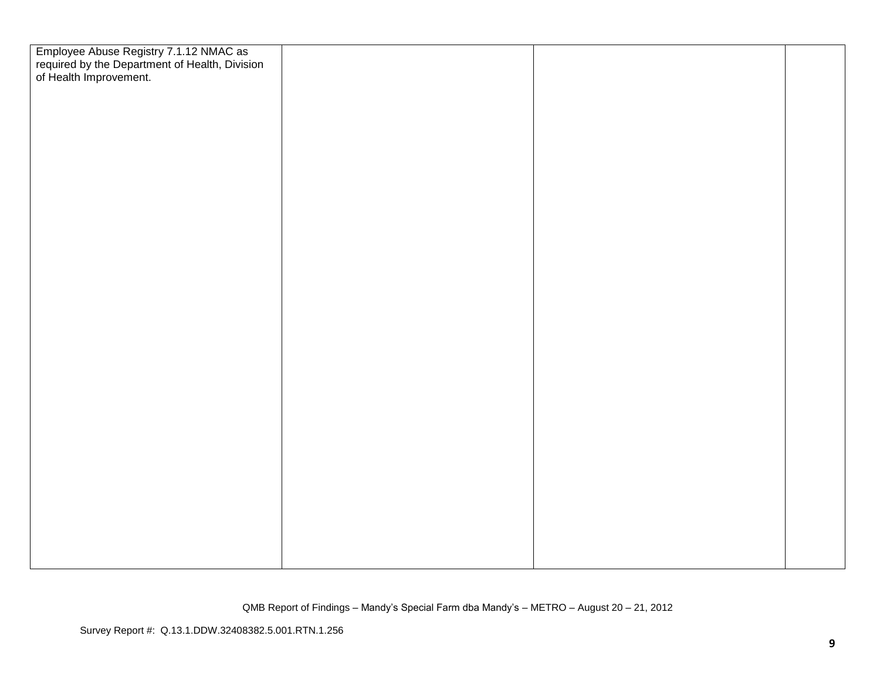| Employee Abuse Registry 7.1.12 NMAC as<br>required by the Department of Health, Division<br>of Health Improvement. |  |  |
|--------------------------------------------------------------------------------------------------------------------|--|--|
|                                                                                                                    |  |  |
|                                                                                                                    |  |  |
|                                                                                                                    |  |  |
|                                                                                                                    |  |  |
|                                                                                                                    |  |  |
|                                                                                                                    |  |  |
|                                                                                                                    |  |  |
|                                                                                                                    |  |  |
|                                                                                                                    |  |  |
|                                                                                                                    |  |  |
|                                                                                                                    |  |  |
|                                                                                                                    |  |  |
|                                                                                                                    |  |  |
|                                                                                                                    |  |  |
|                                                                                                                    |  |  |
|                                                                                                                    |  |  |
|                                                                                                                    |  |  |
|                                                                                                                    |  |  |
|                                                                                                                    |  |  |
|                                                                                                                    |  |  |
|                                                                                                                    |  |  |
|                                                                                                                    |  |  |
|                                                                                                                    |  |  |
|                                                                                                                    |  |  |
|                                                                                                                    |  |  |
|                                                                                                                    |  |  |
|                                                                                                                    |  |  |
|                                                                                                                    |  |  |
|                                                                                                                    |  |  |
|                                                                                                                    |  |  |
|                                                                                                                    |  |  |
|                                                                                                                    |  |  |
|                                                                                                                    |  |  |
|                                                                                                                    |  |  |
|                                                                                                                    |  |  |
|                                                                                                                    |  |  |
|                                                                                                                    |  |  |
|                                                                                                                    |  |  |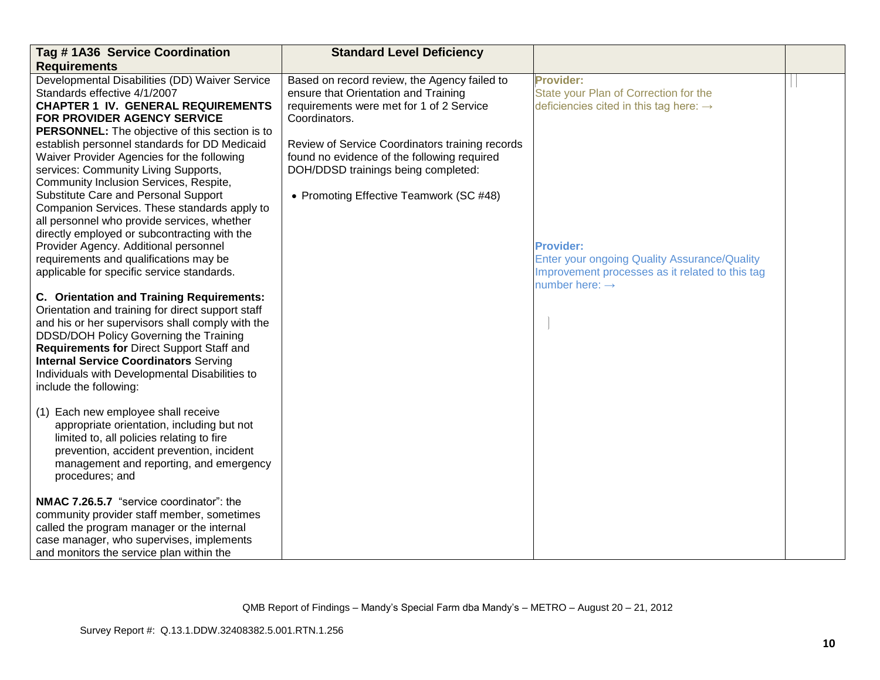| Tag # 1A36 Service Coordination                                                                                                                                                                                                                                                                                                                                                                                                                                                                                                                                                                                                                                                                                              | <b>Standard Level Deficiency</b>                                                                                                                                                                                                                                                                                                      |                                                                                                                                                                                                                                               |  |
|------------------------------------------------------------------------------------------------------------------------------------------------------------------------------------------------------------------------------------------------------------------------------------------------------------------------------------------------------------------------------------------------------------------------------------------------------------------------------------------------------------------------------------------------------------------------------------------------------------------------------------------------------------------------------------------------------------------------------|---------------------------------------------------------------------------------------------------------------------------------------------------------------------------------------------------------------------------------------------------------------------------------------------------------------------------------------|-----------------------------------------------------------------------------------------------------------------------------------------------------------------------------------------------------------------------------------------------|--|
| <b>Requirements</b>                                                                                                                                                                                                                                                                                                                                                                                                                                                                                                                                                                                                                                                                                                          |                                                                                                                                                                                                                                                                                                                                       |                                                                                                                                                                                                                                               |  |
| Developmental Disabilities (DD) Waiver Service<br>Standards effective 4/1/2007<br><b>CHAPTER 1 IV. GENERAL REQUIREMENTS</b><br>FOR PROVIDER AGENCY SERVICE<br><b>PERSONNEL:</b> The objective of this section is to<br>establish personnel standards for DD Medicaid<br>Waiver Provider Agencies for the following<br>services: Community Living Supports,<br>Community Inclusion Services, Respite,<br>Substitute Care and Personal Support<br>Companion Services. These standards apply to<br>all personnel who provide services, whether<br>directly employed or subcontracting with the<br>Provider Agency. Additional personnel<br>requirements and qualifications may be<br>applicable for specific service standards. | Based on record review, the Agency failed to<br>ensure that Orientation and Training<br>requirements were met for 1 of 2 Service<br>Coordinators.<br>Review of Service Coordinators training records<br>found no evidence of the following required<br>DOH/DDSD trainings being completed:<br>• Promoting Effective Teamwork (SC #48) | <b>Provider:</b><br>State your Plan of Correction for the<br>deficiencies cited in this tag here: $\rightarrow$<br><b>Provider:</b><br><b>Enter your ongoing Quality Assurance/Quality</b><br>Improvement processes as it related to this tag |  |
| C. Orientation and Training Requirements:<br>Orientation and training for direct support staff<br>and his or her supervisors shall comply with the<br>DDSD/DOH Policy Governing the Training<br>Requirements for Direct Support Staff and<br><b>Internal Service Coordinators Serving</b><br>Individuals with Developmental Disabilities to<br>include the following:                                                                                                                                                                                                                                                                                                                                                        |                                                                                                                                                                                                                                                                                                                                       | number here: $\rightarrow$                                                                                                                                                                                                                    |  |
| (1) Each new employee shall receive<br>appropriate orientation, including but not<br>limited to, all policies relating to fire<br>prevention, accident prevention, incident<br>management and reporting, and emergency<br>procedures; and                                                                                                                                                                                                                                                                                                                                                                                                                                                                                    |                                                                                                                                                                                                                                                                                                                                       |                                                                                                                                                                                                                                               |  |
| NMAC 7.26.5.7 "service coordinator": the<br>community provider staff member, sometimes<br>called the program manager or the internal<br>case manager, who supervises, implements<br>and monitors the service plan within the                                                                                                                                                                                                                                                                                                                                                                                                                                                                                                 |                                                                                                                                                                                                                                                                                                                                       |                                                                                                                                                                                                                                               |  |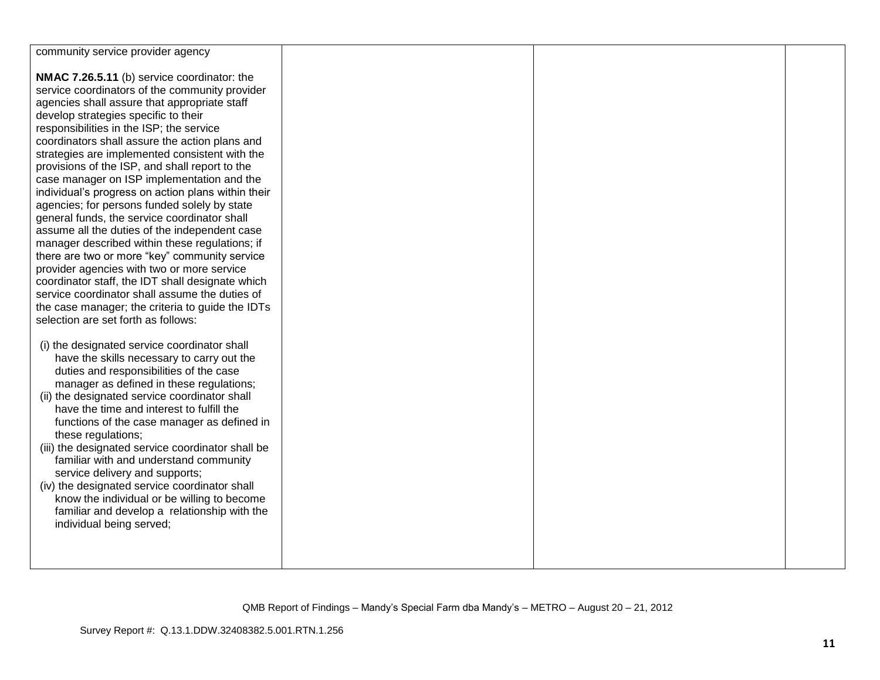| community service provider agency                  |  |  |
|----------------------------------------------------|--|--|
|                                                    |  |  |
|                                                    |  |  |
| NMAC 7.26.5.11 (b) service coordinator: the        |  |  |
| service coordinators of the community provider     |  |  |
| agencies shall assure that appropriate staff       |  |  |
| develop strategies specific to their               |  |  |
| responsibilities in the ISP; the service           |  |  |
| coordinators shall assure the action plans and     |  |  |
| strategies are implemented consistent with the     |  |  |
|                                                    |  |  |
| provisions of the ISP, and shall report to the     |  |  |
| case manager on ISP implementation and the         |  |  |
| individual's progress on action plans within their |  |  |
| agencies; for persons funded solely by state       |  |  |
| general funds, the service coordinator shall       |  |  |
| assume all the duties of the independent case      |  |  |
| manager described within these regulations; if     |  |  |
| there are two or more "key" community service      |  |  |
| provider agencies with two or more service         |  |  |
| coordinator staff, the IDT shall designate which   |  |  |
| service coordinator shall assume the duties of     |  |  |
| the case manager; the criteria to guide the IDTs   |  |  |
| selection are set forth as follows:                |  |  |
|                                                    |  |  |
|                                                    |  |  |
| (i) the designated service coordinator shall       |  |  |
| have the skills necessary to carry out the         |  |  |
| duties and responsibilities of the case            |  |  |
| manager as defined in these regulations;           |  |  |
| (ii) the designated service coordinator shall      |  |  |
| have the time and interest to fulfill the          |  |  |
| functions of the case manager as defined in        |  |  |
| these regulations;                                 |  |  |
| (iii) the designated service coordinator shall be  |  |  |
| familiar with and understand community             |  |  |
| service delivery and supports;                     |  |  |
| (iv) the designated service coordinator shall      |  |  |
| know the individual or be willing to become        |  |  |
|                                                    |  |  |
| familiar and develop a relationship with the       |  |  |
| individual being served;                           |  |  |
|                                                    |  |  |
|                                                    |  |  |
|                                                    |  |  |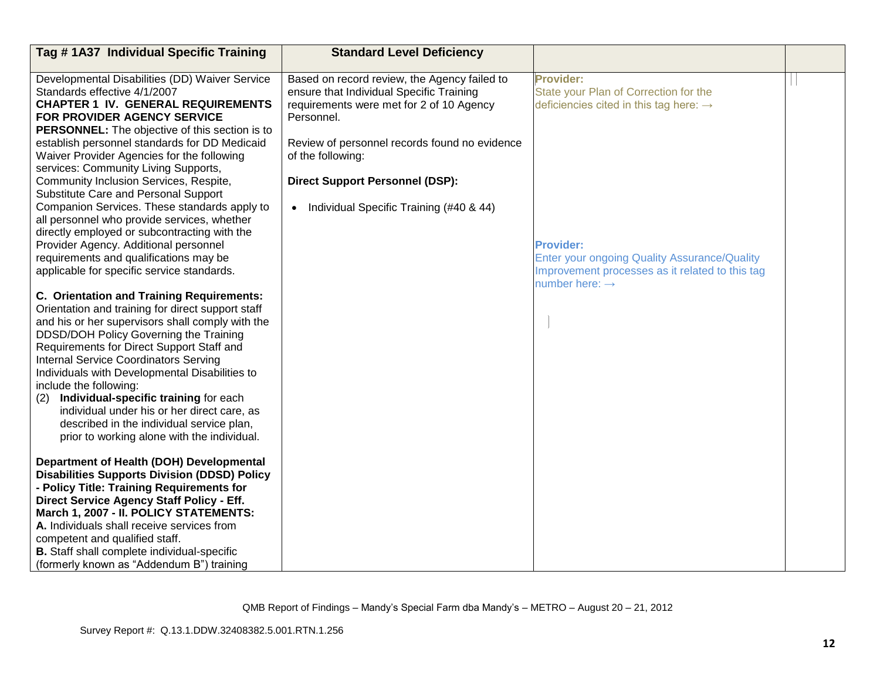| Tag #1A37 Individual Specific Training                                                                                                                                                                                                                                                                                                                                                                                                                                                                                                                                                                                                                                                                                                                                    | <b>Standard Level Deficiency</b>                                                                                                                                                                                                                                                                                |                                                                                                                                                                                                                                                                      |  |
|---------------------------------------------------------------------------------------------------------------------------------------------------------------------------------------------------------------------------------------------------------------------------------------------------------------------------------------------------------------------------------------------------------------------------------------------------------------------------------------------------------------------------------------------------------------------------------------------------------------------------------------------------------------------------------------------------------------------------------------------------------------------------|-----------------------------------------------------------------------------------------------------------------------------------------------------------------------------------------------------------------------------------------------------------------------------------------------------------------|----------------------------------------------------------------------------------------------------------------------------------------------------------------------------------------------------------------------------------------------------------------------|--|
| Developmental Disabilities (DD) Waiver Service<br>Standards effective 4/1/2007<br><b>CHAPTER 1 IV. GENERAL REQUIREMENTS</b><br>FOR PROVIDER AGENCY SERVICE<br>PERSONNEL: The objective of this section is to<br>establish personnel standards for DD Medicaid<br>Waiver Provider Agencies for the following<br>services: Community Living Supports,<br>Community Inclusion Services, Respite,<br>Substitute Care and Personal Support<br>Companion Services. These standards apply to<br>all personnel who provide services, whether<br>directly employed or subcontracting with the<br>Provider Agency. Additional personnel<br>requirements and qualifications may be<br>applicable for specific service standards.<br><b>C. Orientation and Training Requirements:</b> | Based on record review, the Agency failed to<br>ensure that Individual Specific Training<br>requirements were met for 2 of 10 Agency<br>Personnel.<br>Review of personnel records found no evidence<br>of the following:<br><b>Direct Support Personnel (DSP):</b><br>• Individual Specific Training (#40 & 44) | <b>Provider:</b><br>State your Plan of Correction for the<br>deficiencies cited in this tag here: $\rightarrow$<br><b>Provider:</b><br>Enter your ongoing Quality Assurance/Quality<br>Improvement processes as it related to this tag<br>number here: $\rightarrow$ |  |
| Orientation and training for direct support staff<br>and his or her supervisors shall comply with the<br>DDSD/DOH Policy Governing the Training<br>Requirements for Direct Support Staff and<br><b>Internal Service Coordinators Serving</b><br>Individuals with Developmental Disabilities to<br>include the following:<br>Individual-specific training for each<br>(2)<br>individual under his or her direct care, as<br>described in the individual service plan,<br>prior to working alone with the individual.                                                                                                                                                                                                                                                       |                                                                                                                                                                                                                                                                                                                 |                                                                                                                                                                                                                                                                      |  |
| Department of Health (DOH) Developmental<br><b>Disabilities Supports Division (DDSD) Policy</b><br>- Policy Title: Training Requirements for<br>Direct Service Agency Staff Policy - Eff.<br>March 1, 2007 - II. POLICY STATEMENTS:<br>A. Individuals shall receive services from<br>competent and qualified staff.<br><b>B.</b> Staff shall complete individual-specific<br>(formerly known as "Addendum B") training                                                                                                                                                                                                                                                                                                                                                    |                                                                                                                                                                                                                                                                                                                 |                                                                                                                                                                                                                                                                      |  |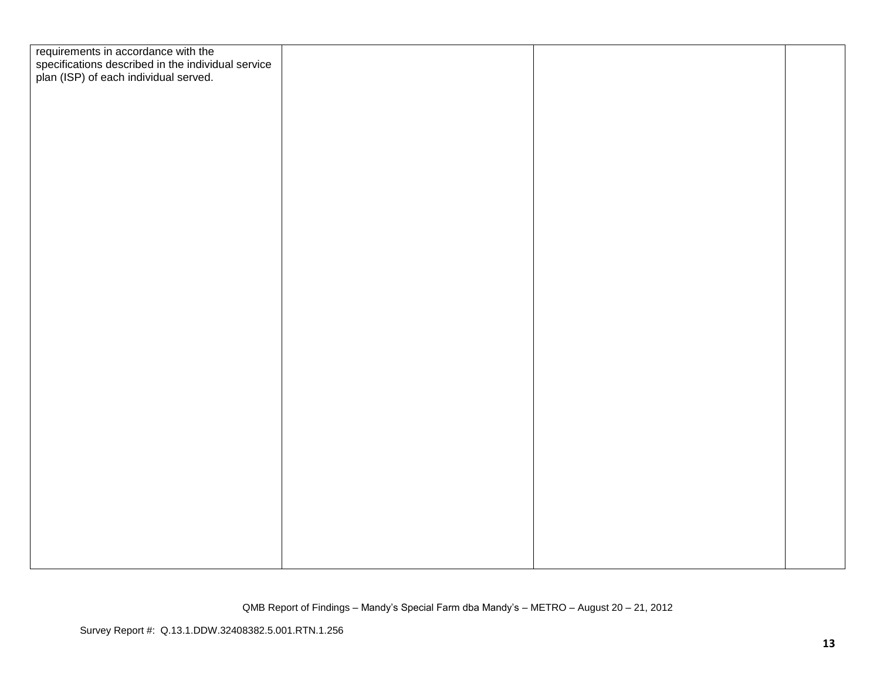| requirements in accordance with the<br>specifications described in the individual service<br>plan (ISP) of each individual served. |  |  |
|------------------------------------------------------------------------------------------------------------------------------------|--|--|
|                                                                                                                                    |  |  |
|                                                                                                                                    |  |  |
|                                                                                                                                    |  |  |
|                                                                                                                                    |  |  |
|                                                                                                                                    |  |  |
|                                                                                                                                    |  |  |
|                                                                                                                                    |  |  |
|                                                                                                                                    |  |  |
|                                                                                                                                    |  |  |
|                                                                                                                                    |  |  |
|                                                                                                                                    |  |  |
|                                                                                                                                    |  |  |
|                                                                                                                                    |  |  |
|                                                                                                                                    |  |  |
|                                                                                                                                    |  |  |
|                                                                                                                                    |  |  |
|                                                                                                                                    |  |  |
|                                                                                                                                    |  |  |
|                                                                                                                                    |  |  |
|                                                                                                                                    |  |  |
|                                                                                                                                    |  |  |
|                                                                                                                                    |  |  |
|                                                                                                                                    |  |  |
|                                                                                                                                    |  |  |
|                                                                                                                                    |  |  |
|                                                                                                                                    |  |  |
|                                                                                                                                    |  |  |
|                                                                                                                                    |  |  |
|                                                                                                                                    |  |  |
|                                                                                                                                    |  |  |
|                                                                                                                                    |  |  |
|                                                                                                                                    |  |  |
|                                                                                                                                    |  |  |
|                                                                                                                                    |  |  |
|                                                                                                                                    |  |  |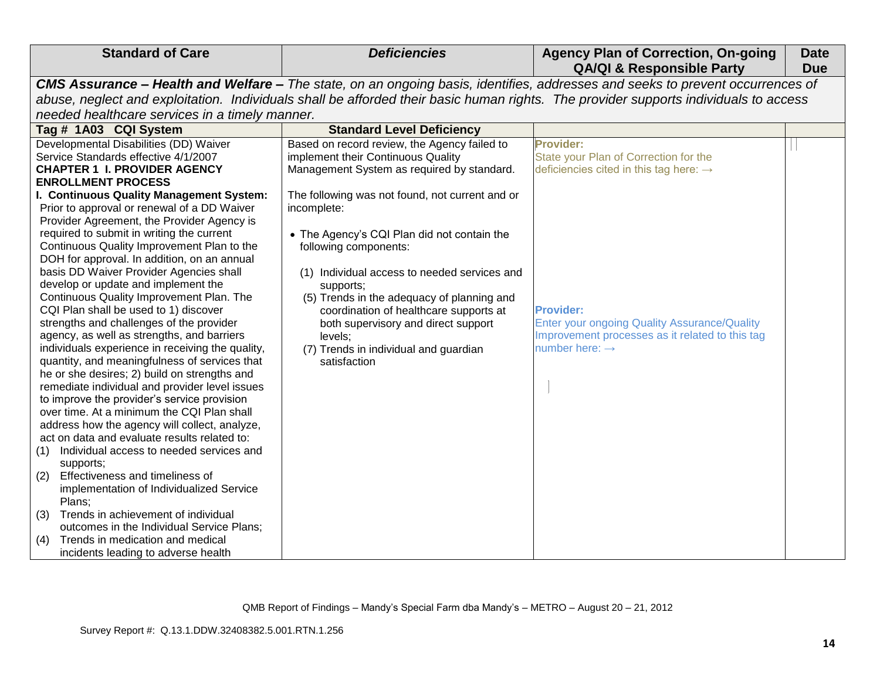| <b>Standard of Care</b>                                                                                                                                                                                                                                                                                                                                                                                                                                                                                                                                                                                                                                                                                                                                                                                                                                                                                                                                                                                                                                                                                                                                                                                                                                                                                                                                                                                                                                  | <b>Deficiencies</b>                                                                                                                                                                                                                                                                                                                                                                                                                                                                                                                        | <b>Agency Plan of Correction, On-going</b><br><b>QA/QI &amp; Responsible Party</b>                                                                                                                                                                                          | <b>Date</b><br><b>Due</b> |
|----------------------------------------------------------------------------------------------------------------------------------------------------------------------------------------------------------------------------------------------------------------------------------------------------------------------------------------------------------------------------------------------------------------------------------------------------------------------------------------------------------------------------------------------------------------------------------------------------------------------------------------------------------------------------------------------------------------------------------------------------------------------------------------------------------------------------------------------------------------------------------------------------------------------------------------------------------------------------------------------------------------------------------------------------------------------------------------------------------------------------------------------------------------------------------------------------------------------------------------------------------------------------------------------------------------------------------------------------------------------------------------------------------------------------------------------------------|--------------------------------------------------------------------------------------------------------------------------------------------------------------------------------------------------------------------------------------------------------------------------------------------------------------------------------------------------------------------------------------------------------------------------------------------------------------------------------------------------------------------------------------------|-----------------------------------------------------------------------------------------------------------------------------------------------------------------------------------------------------------------------------------------------------------------------------|---------------------------|
|                                                                                                                                                                                                                                                                                                                                                                                                                                                                                                                                                                                                                                                                                                                                                                                                                                                                                                                                                                                                                                                                                                                                                                                                                                                                                                                                                                                                                                                          |                                                                                                                                                                                                                                                                                                                                                                                                                                                                                                                                            | CMS Assurance - Health and Welfare - The state, on an ongoing basis, identifies, addresses and seeks to prevent occurrences of                                                                                                                                              |                           |
|                                                                                                                                                                                                                                                                                                                                                                                                                                                                                                                                                                                                                                                                                                                                                                                                                                                                                                                                                                                                                                                                                                                                                                                                                                                                                                                                                                                                                                                          |                                                                                                                                                                                                                                                                                                                                                                                                                                                                                                                                            | abuse, neglect and exploitation. Individuals shall be afforded their basic human rights. The provider supports individuals to access                                                                                                                                        |                           |
| needed healthcare services in a timely manner.                                                                                                                                                                                                                                                                                                                                                                                                                                                                                                                                                                                                                                                                                                                                                                                                                                                                                                                                                                                                                                                                                                                                                                                                                                                                                                                                                                                                           |                                                                                                                                                                                                                                                                                                                                                                                                                                                                                                                                            |                                                                                                                                                                                                                                                                             |                           |
| Tag # 1A03 CQI System                                                                                                                                                                                                                                                                                                                                                                                                                                                                                                                                                                                                                                                                                                                                                                                                                                                                                                                                                                                                                                                                                                                                                                                                                                                                                                                                                                                                                                    | <b>Standard Level Deficiency</b>                                                                                                                                                                                                                                                                                                                                                                                                                                                                                                           |                                                                                                                                                                                                                                                                             |                           |
| Developmental Disabilities (DD) Waiver<br>Service Standards effective 4/1/2007<br><b>CHAPTER 1 I. PROVIDER AGENCY</b><br><b>ENROLLMENT PROCESS</b><br>I. Continuous Quality Management System:<br>Prior to approval or renewal of a DD Waiver<br>Provider Agreement, the Provider Agency is<br>required to submit in writing the current<br>Continuous Quality Improvement Plan to the<br>DOH for approval. In addition, on an annual<br>basis DD Waiver Provider Agencies shall<br>develop or update and implement the<br>Continuous Quality Improvement Plan. The<br>CQI Plan shall be used to 1) discover<br>strengths and challenges of the provider<br>agency, as well as strengths, and barriers<br>individuals experience in receiving the quality,<br>quantity, and meaningfulness of services that<br>he or she desires; 2) build on strengths and<br>remediate individual and provider level issues<br>to improve the provider's service provision<br>over time. At a minimum the CQI Plan shall<br>address how the agency will collect, analyze,<br>act on data and evaluate results related to:<br>Individual access to needed services and<br>(1)<br>supports;<br>Effectiveness and timeliness of<br>(2)<br>implementation of Individualized Service<br>Plans:<br>Trends in achievement of individual<br>(3)<br>outcomes in the Individual Service Plans;<br>Trends in medication and medical<br>(4)<br>incidents leading to adverse health | Based on record review, the Agency failed to<br>implement their Continuous Quality<br>Management System as required by standard.<br>The following was not found, not current and or<br>incomplete:<br>• The Agency's CQI Plan did not contain the<br>following components:<br>(1) Individual access to needed services and<br>supports;<br>(5) Trends in the adequacy of planning and<br>coordination of healthcare supports at<br>both supervisory and direct support<br>levels;<br>(7) Trends in individual and guardian<br>satisfaction | <b>Provider:</b><br>State your Plan of Correction for the<br>deficiencies cited in this tag here: $\rightarrow$<br><b>Provider:</b><br><b>Enter your ongoing Quality Assurance/Quality</b><br>Improvement processes as it related to this tag<br>number here: $\rightarrow$ |                           |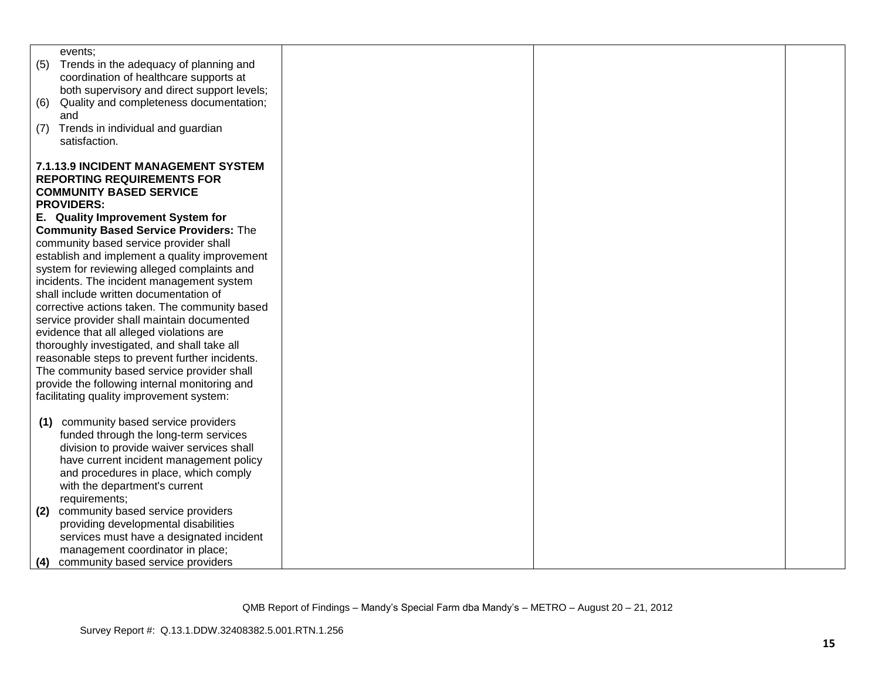| events:                                        |  |  |
|------------------------------------------------|--|--|
| (5)<br>Trends in the adequacy of planning and  |  |  |
| coordination of healthcare supports at         |  |  |
| both supervisory and direct support levels;    |  |  |
| Quality and completeness documentation;<br>(6) |  |  |
| and                                            |  |  |
| Trends in individual and guardian<br>(7)       |  |  |
| satisfaction.                                  |  |  |
|                                                |  |  |
| <b>7.1.13.9 INCIDENT MANAGEMENT SYSTEM</b>     |  |  |
| <b>REPORTING REQUIREMENTS FOR</b>              |  |  |
| <b>COMMUNITY BASED SERVICE</b>                 |  |  |
| <b>PROVIDERS:</b>                              |  |  |
| E. Quality Improvement System for              |  |  |
| <b>Community Based Service Providers: The</b>  |  |  |
| community based service provider shall         |  |  |
| establish and implement a quality improvement  |  |  |
| system for reviewing alleged complaints and    |  |  |
| incidents. The incident management system      |  |  |
| shall include written documentation of         |  |  |
| corrective actions taken. The community based  |  |  |
| service provider shall maintain documented     |  |  |
| evidence that all alleged violations are       |  |  |
| thoroughly investigated, and shall take all    |  |  |
| reasonable steps to prevent further incidents. |  |  |
| The community based service provider shall     |  |  |
| provide the following internal monitoring and  |  |  |
| facilitating quality improvement system:       |  |  |
|                                                |  |  |
| community based service providers<br>(1)       |  |  |
| funded through the long-term services          |  |  |
| division to provide waiver services shall      |  |  |
| have current incident management policy        |  |  |
| and procedures in place, which comply          |  |  |
| with the department's current                  |  |  |
| requirements;                                  |  |  |
| community based service providers<br>(2)       |  |  |
| providing developmental disabilities           |  |  |
| services must have a designated incident       |  |  |
| management coordinator in place;               |  |  |
| community based service providers<br>(4)       |  |  |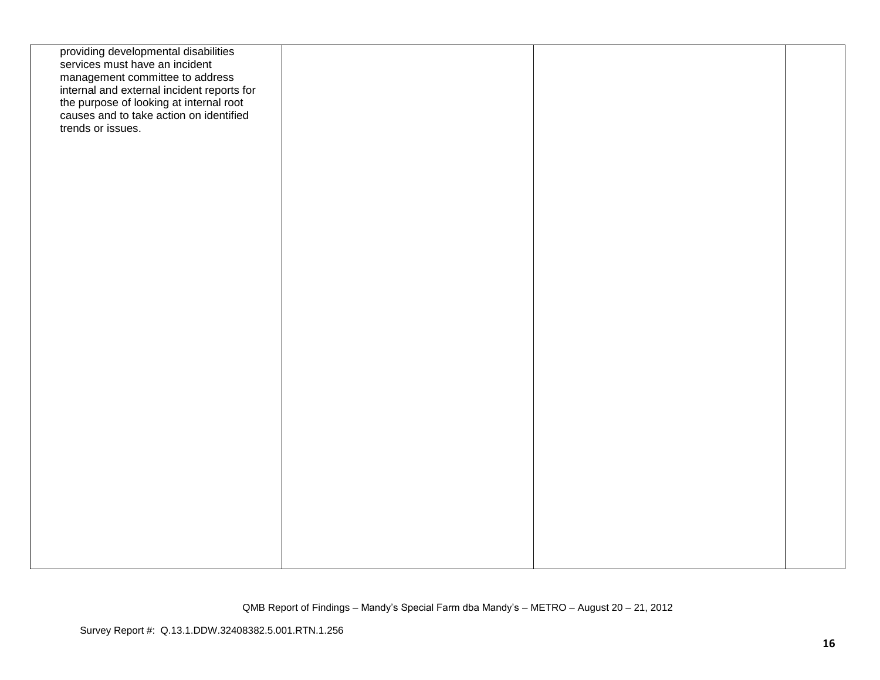| providing developmental disabilities<br>services must have an incident<br>management committee to address<br>internal and external incident reports for<br>the purpose of looking at internal root<br>causes and to take action on identified<br>trends or issues. |  |  |
|--------------------------------------------------------------------------------------------------------------------------------------------------------------------------------------------------------------------------------------------------------------------|--|--|
|                                                                                                                                                                                                                                                                    |  |  |
|                                                                                                                                                                                                                                                                    |  |  |
|                                                                                                                                                                                                                                                                    |  |  |
|                                                                                                                                                                                                                                                                    |  |  |
|                                                                                                                                                                                                                                                                    |  |  |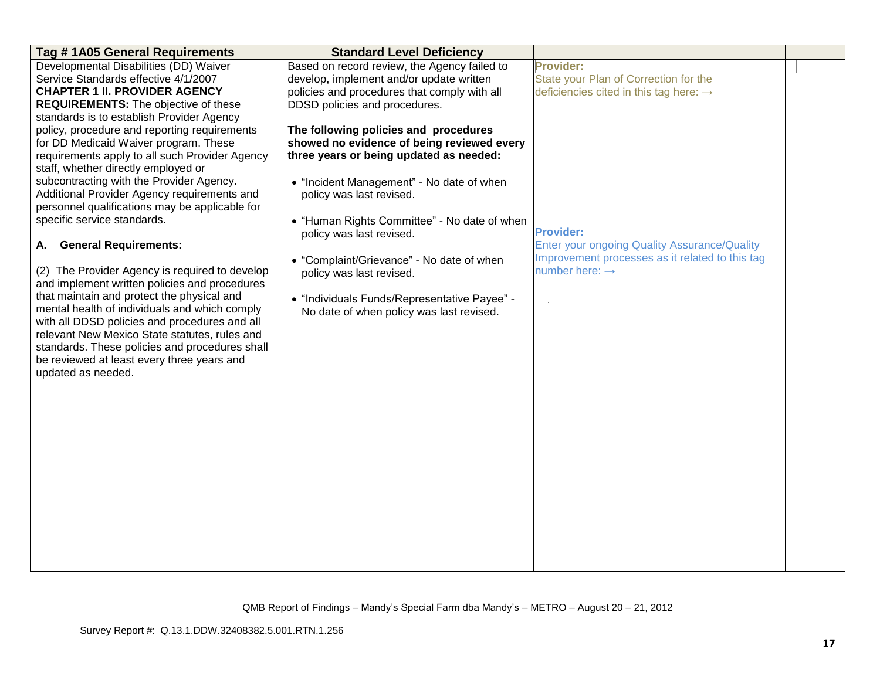| Tag #1A05 General Requirements                                                                                                                                                                                                                                                                                                                                                                                                                                                                                                                                                                                                                                                                                                                                                                                                                                                                                                                                                                                                                   | <b>Standard Level Deficiency</b>                                                                                                                                                                                                                                                                                                                                                                                                                                                                                                                                                                                                      |                                                                                                                                                                                                                                                                      |  |
|--------------------------------------------------------------------------------------------------------------------------------------------------------------------------------------------------------------------------------------------------------------------------------------------------------------------------------------------------------------------------------------------------------------------------------------------------------------------------------------------------------------------------------------------------------------------------------------------------------------------------------------------------------------------------------------------------------------------------------------------------------------------------------------------------------------------------------------------------------------------------------------------------------------------------------------------------------------------------------------------------------------------------------------------------|---------------------------------------------------------------------------------------------------------------------------------------------------------------------------------------------------------------------------------------------------------------------------------------------------------------------------------------------------------------------------------------------------------------------------------------------------------------------------------------------------------------------------------------------------------------------------------------------------------------------------------------|----------------------------------------------------------------------------------------------------------------------------------------------------------------------------------------------------------------------------------------------------------------------|--|
| Developmental Disabilities (DD) Waiver<br>Service Standards effective 4/1/2007<br><b>CHAPTER 1 II. PROVIDER AGENCY</b><br><b>REQUIREMENTS:</b> The objective of these<br>standards is to establish Provider Agency<br>policy, procedure and reporting requirements<br>for DD Medicaid Waiver program. These<br>requirements apply to all such Provider Agency<br>staff, whether directly employed or<br>subcontracting with the Provider Agency.<br>Additional Provider Agency requirements and<br>personnel qualifications may be applicable for<br>specific service standards.<br><b>General Requirements:</b><br>А.<br>(2) The Provider Agency is required to develop<br>and implement written policies and procedures<br>that maintain and protect the physical and<br>mental health of individuals and which comply<br>with all DDSD policies and procedures and all<br>relevant New Mexico State statutes, rules and<br>standards. These policies and procedures shall<br>be reviewed at least every three years and<br>updated as needed. | Based on record review, the Agency failed to<br>develop, implement and/or update written<br>policies and procedures that comply with all<br>DDSD policies and procedures.<br>The following policies and procedures<br>showed no evidence of being reviewed every<br>three years or being updated as needed:<br>• "Incident Management" - No date of when<br>policy was last revised.<br>• "Human Rights Committee" - No date of when<br>policy was last revised.<br>• "Complaint/Grievance" - No date of when<br>policy was last revised.<br>• "Individuals Funds/Representative Payee" -<br>No date of when policy was last revised. | <b>Provider:</b><br>State your Plan of Correction for the<br>deficiencies cited in this tag here: $\rightarrow$<br><b>Provider:</b><br>Enter your ongoing Quality Assurance/Quality<br>Improvement processes as it related to this tag<br>number here: $\rightarrow$ |  |
|                                                                                                                                                                                                                                                                                                                                                                                                                                                                                                                                                                                                                                                                                                                                                                                                                                                                                                                                                                                                                                                  |                                                                                                                                                                                                                                                                                                                                                                                                                                                                                                                                                                                                                                       |                                                                                                                                                                                                                                                                      |  |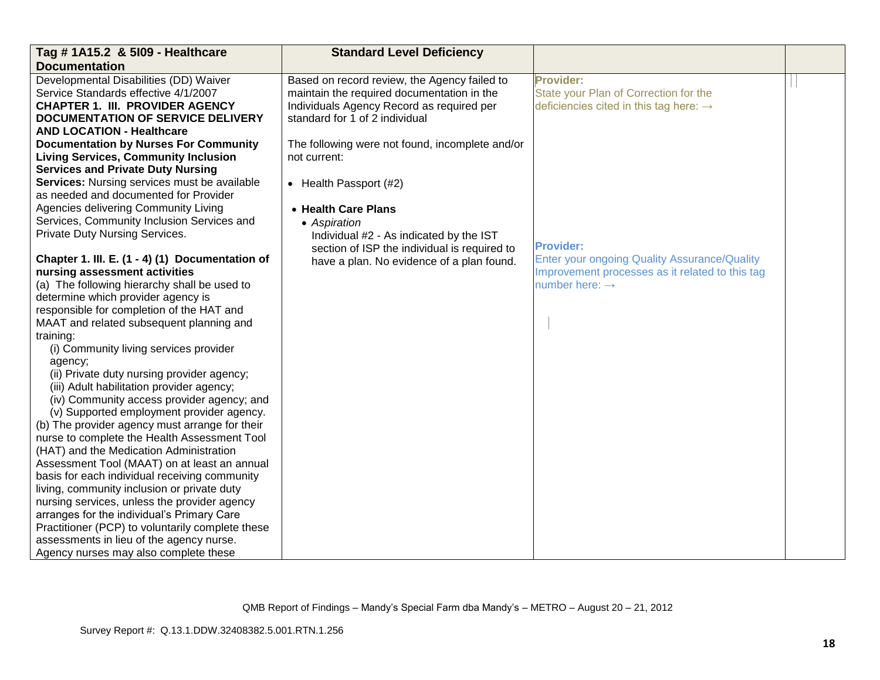| Tag # 1A15.2 & 5109 - Healthcare                 | <b>Standard Level Deficiency</b>                |                                                     |  |
|--------------------------------------------------|-------------------------------------------------|-----------------------------------------------------|--|
| <b>Documentation</b>                             |                                                 |                                                     |  |
| Developmental Disabilities (DD) Waiver           | Based on record review, the Agency failed to    | Provider:                                           |  |
| Service Standards effective 4/1/2007             | maintain the required documentation in the      | State your Plan of Correction for the               |  |
| <b>CHAPTER 1. III. PROVIDER AGENCY</b>           | Individuals Agency Record as required per       | deficiencies cited in this tag here: $\rightarrow$  |  |
| <b>DOCUMENTATION OF SERVICE DELIVERY</b>         | standard for 1 of 2 individual                  |                                                     |  |
| <b>AND LOCATION - Healthcare</b>                 |                                                 |                                                     |  |
| <b>Documentation by Nurses For Community</b>     | The following were not found, incomplete and/or |                                                     |  |
| <b>Living Services, Community Inclusion</b>      | not current:                                    |                                                     |  |
| <b>Services and Private Duty Nursing</b>         |                                                 |                                                     |  |
| Services: Nursing services must be available     | • Health Passport (#2)                          |                                                     |  |
| as needed and documented for Provider            |                                                 |                                                     |  |
| Agencies delivering Community Living             | • Health Care Plans                             |                                                     |  |
| Services, Community Inclusion Services and       | • Aspiration                                    |                                                     |  |
| Private Duty Nursing Services.                   | Individual #2 - As indicated by the IST         |                                                     |  |
|                                                  | section of ISP the individual is required to    | <b>Provider:</b>                                    |  |
| Chapter 1. III. E. (1 - 4) (1) Documentation of  | have a plan. No evidence of a plan found.       | <b>Enter your ongoing Quality Assurance/Quality</b> |  |
| nursing assessment activities                    |                                                 | Improvement processes as it related to this tag     |  |
| (a) The following hierarchy shall be used to     |                                                 | number here: $\rightarrow$                          |  |
| determine which provider agency is               |                                                 |                                                     |  |
| responsible for completion of the HAT and        |                                                 |                                                     |  |
| MAAT and related subsequent planning and         |                                                 |                                                     |  |
| training:                                        |                                                 |                                                     |  |
| (i) Community living services provider           |                                                 |                                                     |  |
| agency;                                          |                                                 |                                                     |  |
| (ii) Private duty nursing provider agency;       |                                                 |                                                     |  |
| (iii) Adult habilitation provider agency;        |                                                 |                                                     |  |
| (iv) Community access provider agency; and       |                                                 |                                                     |  |
| (v) Supported employment provider agency.        |                                                 |                                                     |  |
| (b) The provider agency must arrange for their   |                                                 |                                                     |  |
| nurse to complete the Health Assessment Tool     |                                                 |                                                     |  |
| (HAT) and the Medication Administration          |                                                 |                                                     |  |
| Assessment Tool (MAAT) on at least an annual     |                                                 |                                                     |  |
| basis for each individual receiving community    |                                                 |                                                     |  |
| living, community inclusion or private duty      |                                                 |                                                     |  |
| nursing services, unless the provider agency     |                                                 |                                                     |  |
| arranges for the individual's Primary Care       |                                                 |                                                     |  |
| Practitioner (PCP) to voluntarily complete these |                                                 |                                                     |  |
| assessments in lieu of the agency nurse.         |                                                 |                                                     |  |
| Agency nurses may also complete these            |                                                 |                                                     |  |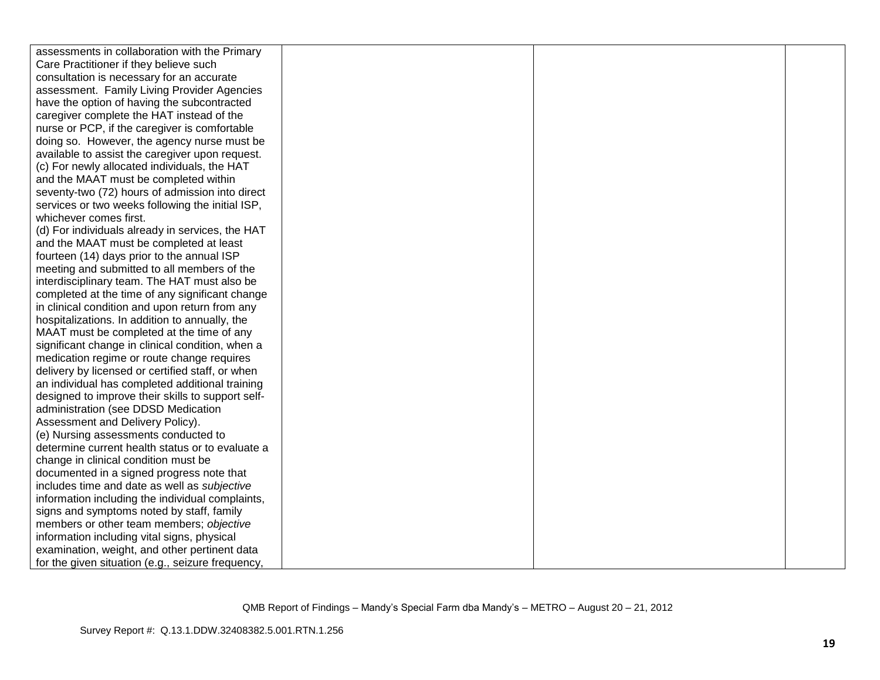| assessments in collaboration with the Primary     |  |  |
|---------------------------------------------------|--|--|
| Care Practitioner if they believe such            |  |  |
| consultation is necessary for an accurate         |  |  |
| assessment. Family Living Provider Agencies       |  |  |
| have the option of having the subcontracted       |  |  |
| caregiver complete the HAT instead of the         |  |  |
| nurse or PCP, if the caregiver is comfortable     |  |  |
| doing so. However, the agency nurse must be       |  |  |
| available to assist the caregiver upon request.   |  |  |
| (c) For newly allocated individuals, the HAT      |  |  |
| and the MAAT must be completed within             |  |  |
| seventy-two (72) hours of admission into direct   |  |  |
| services or two weeks following the initial ISP,  |  |  |
| whichever comes first.                            |  |  |
| (d) For individuals already in services, the HAT  |  |  |
| and the MAAT must be completed at least           |  |  |
| fourteen (14) days prior to the annual ISP        |  |  |
| meeting and submitted to all members of the       |  |  |
| interdisciplinary team. The HAT must also be      |  |  |
| completed at the time of any significant change   |  |  |
| in clinical condition and upon return from any    |  |  |
| hospitalizations. In addition to annually, the    |  |  |
| MAAT must be completed at the time of any         |  |  |
| significant change in clinical condition, when a  |  |  |
| medication regime or route change requires        |  |  |
| delivery by licensed or certified staff, or when  |  |  |
| an individual has completed additional training   |  |  |
| designed to improve their skills to support self- |  |  |
| administration (see DDSD Medication               |  |  |
| Assessment and Delivery Policy).                  |  |  |
| (e) Nursing assessments conducted to              |  |  |
| determine current health status or to evaluate a  |  |  |
| change in clinical condition must be              |  |  |
| documented in a signed progress note that         |  |  |
| includes time and date as well as subjective      |  |  |
| information including the individual complaints,  |  |  |
| signs and symptoms noted by staff, family         |  |  |
| members or other team members; objective          |  |  |
| information including vital signs, physical       |  |  |
| examination, weight, and other pertinent data     |  |  |
| for the given situation (e.g., seizure frequency, |  |  |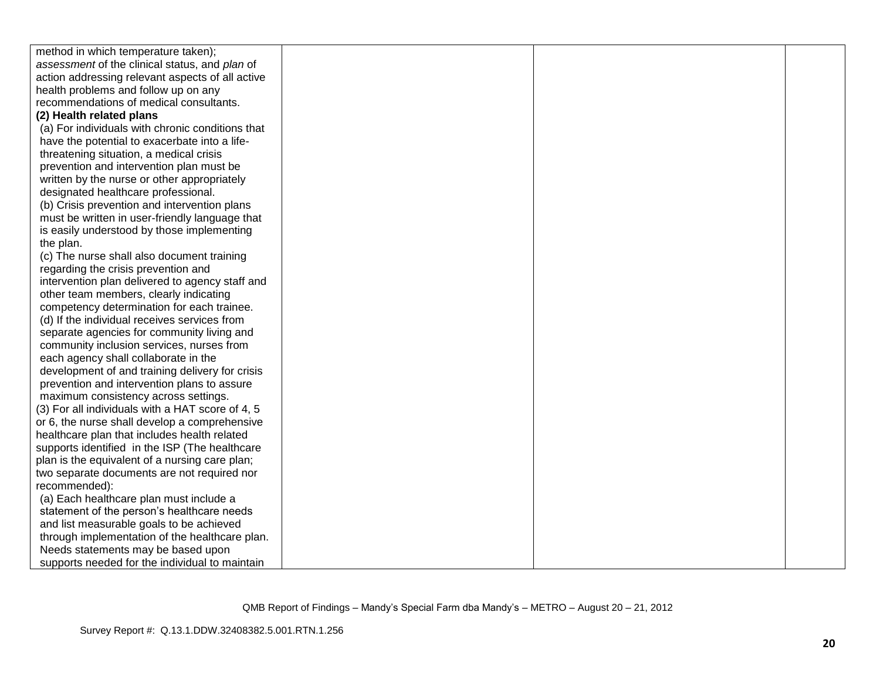| method in which temperature taken);              |  |  |
|--------------------------------------------------|--|--|
| assessment of the clinical status, and plan of   |  |  |
| action addressing relevant aspects of all active |  |  |
| health problems and follow up on any             |  |  |
| recommendations of medical consultants.          |  |  |
| (2) Health related plans                         |  |  |
| (a) For individuals with chronic conditions that |  |  |
| have the potential to exacerbate into a life-    |  |  |
| threatening situation, a medical crisis          |  |  |
| prevention and intervention plan must be         |  |  |
| written by the nurse or other appropriately      |  |  |
| designated healthcare professional.              |  |  |
| (b) Crisis prevention and intervention plans     |  |  |
| must be written in user-friendly language that   |  |  |
| is easily understood by those implementing       |  |  |
| the plan.                                        |  |  |
| (c) The nurse shall also document training       |  |  |
| regarding the crisis prevention and              |  |  |
| intervention plan delivered to agency staff and  |  |  |
| other team members, clearly indicating           |  |  |
| competency determination for each trainee.       |  |  |
| (d) If the individual receives services from     |  |  |
| separate agencies for community living and       |  |  |
| community inclusion services, nurses from        |  |  |
| each agency shall collaborate in the             |  |  |
| development of and training delivery for crisis  |  |  |
| prevention and intervention plans to assure      |  |  |
| maximum consistency across settings.             |  |  |
| (3) For all individuals with a HAT score of 4, 5 |  |  |
| or 6, the nurse shall develop a comprehensive    |  |  |
| healthcare plan that includes health related     |  |  |
| supports identified in the ISP (The healthcare   |  |  |
| plan is the equivalent of a nursing care plan;   |  |  |
| two separate documents are not required nor      |  |  |
| recommended):                                    |  |  |
| (a) Each healthcare plan must include a          |  |  |
| statement of the person's healthcare needs       |  |  |
| and list measurable goals to be achieved         |  |  |
| through implementation of the healthcare plan.   |  |  |
| Needs statements may be based upon               |  |  |
| supports needed for the individual to maintain   |  |  |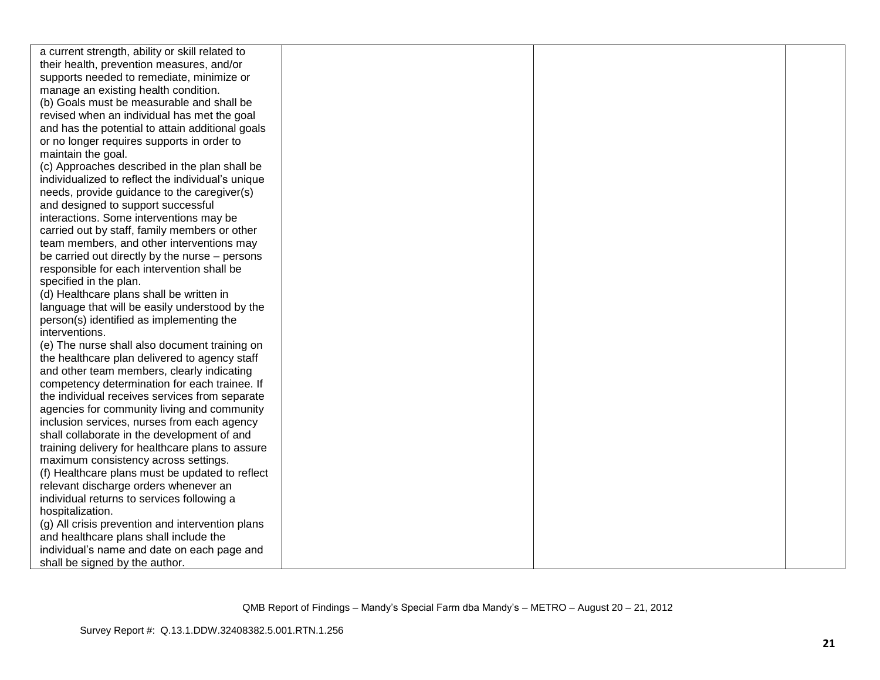| a current strength, ability or skill related to   |  |  |
|---------------------------------------------------|--|--|
| their health, prevention measures, and/or         |  |  |
| supports needed to remediate, minimize or         |  |  |
| manage an existing health condition.              |  |  |
| (b) Goals must be measurable and shall be         |  |  |
| revised when an individual has met the goal       |  |  |
| and has the potential to attain additional goals  |  |  |
| or no longer requires supports in order to        |  |  |
| maintain the goal.                                |  |  |
| (c) Approaches described in the plan shall be     |  |  |
| individualized to reflect the individual's unique |  |  |
| needs, provide guidance to the caregiver(s)       |  |  |
| and designed to support successful                |  |  |
| interactions. Some interventions may be           |  |  |
| carried out by staff, family members or other     |  |  |
| team members, and other interventions may         |  |  |
| be carried out directly by the nurse - persons    |  |  |
| responsible for each intervention shall be        |  |  |
| specified in the plan.                            |  |  |
| (d) Healthcare plans shall be written in          |  |  |
| language that will be easily understood by the    |  |  |
| person(s) identified as implementing the          |  |  |
| interventions.                                    |  |  |
| (e) The nurse shall also document training on     |  |  |
| the healthcare plan delivered to agency staff     |  |  |
| and other team members, clearly indicating        |  |  |
| competency determination for each trainee. If     |  |  |
| the individual receives services from separate    |  |  |
| agencies for community living and community       |  |  |
| inclusion services, nurses from each agency       |  |  |
| shall collaborate in the development of and       |  |  |
| training delivery for healthcare plans to assure  |  |  |
| maximum consistency across settings.              |  |  |
| (f) Healthcare plans must be updated to reflect   |  |  |
| relevant discharge orders whenever an             |  |  |
| individual returns to services following a        |  |  |
| hospitalization.                                  |  |  |
| (g) All crisis prevention and intervention plans  |  |  |
| and healthcare plans shall include the            |  |  |
| individual's name and date on each page and       |  |  |
| shall be signed by the author.                    |  |  |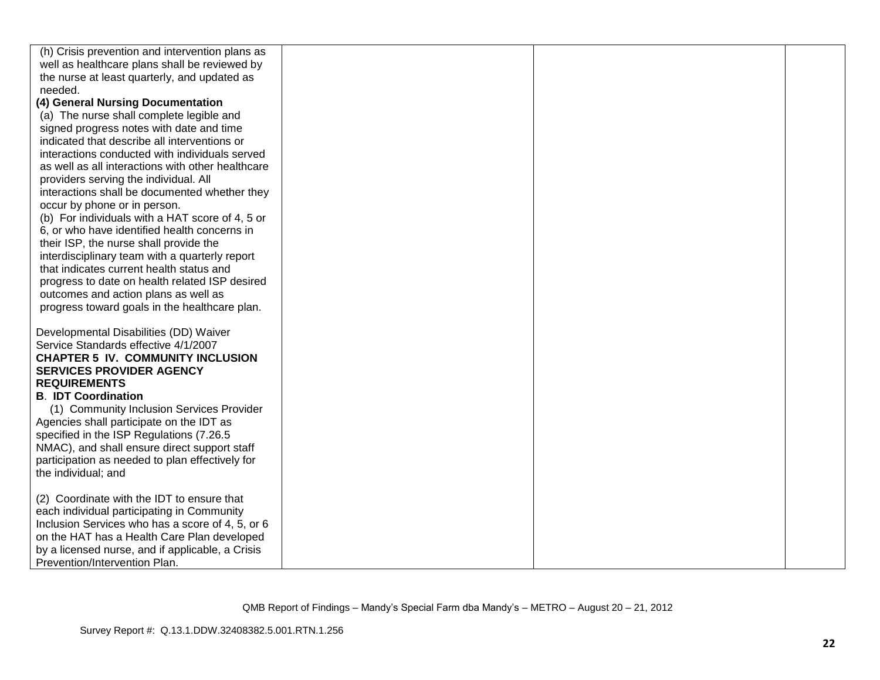| (h) Crisis prevention and intervention plans as                                                |  |  |
|------------------------------------------------------------------------------------------------|--|--|
| well as healthcare plans shall be reviewed by                                                  |  |  |
| the nurse at least quarterly, and updated as                                                   |  |  |
| needed.                                                                                        |  |  |
| (4) General Nursing Documentation                                                              |  |  |
| (a) The nurse shall complete legible and                                                       |  |  |
| signed progress notes with date and time                                                       |  |  |
| indicated that describe all interventions or                                                   |  |  |
| interactions conducted with individuals served                                                 |  |  |
| as well as all interactions with other healthcare                                              |  |  |
| providers serving the individual. All                                                          |  |  |
| interactions shall be documented whether they                                                  |  |  |
| occur by phone or in person.                                                                   |  |  |
| (b) For individuals with a HAT score of 4, 5 or                                                |  |  |
| 6, or who have identified health concerns in                                                   |  |  |
| their ISP, the nurse shall provide the                                                         |  |  |
| interdisciplinary team with a quarterly report                                                 |  |  |
| that indicates current health status and                                                       |  |  |
| progress to date on health related ISP desired                                                 |  |  |
| outcomes and action plans as well as                                                           |  |  |
| progress toward goals in the healthcare plan.                                                  |  |  |
|                                                                                                |  |  |
| Developmental Disabilities (DD) Waiver                                                         |  |  |
| Service Standards effective 4/1/2007                                                           |  |  |
| <b>CHAPTER 5 IV. COMMUNITY INCLUSION</b>                                                       |  |  |
| <b>SERVICES PROVIDER AGENCY</b>                                                                |  |  |
| <b>REQUIREMENTS</b>                                                                            |  |  |
| <b>B. IDT Coordination</b>                                                                     |  |  |
| (1) Community Inclusion Services Provider                                                      |  |  |
| Agencies shall participate on the IDT as                                                       |  |  |
| specified in the ISP Regulations (7.26.5                                                       |  |  |
| NMAC), and shall ensure direct support staff                                                   |  |  |
| participation as needed to plan effectively for                                                |  |  |
| the individual; and                                                                            |  |  |
|                                                                                                |  |  |
| (2) Coordinate with the IDT to ensure that                                                     |  |  |
| each individual participating in Community<br>Inclusion Services who has a score of 4, 5, or 6 |  |  |
| on the HAT has a Health Care Plan developed                                                    |  |  |
|                                                                                                |  |  |
| by a licensed nurse, and if applicable, a Crisis<br>Prevention/Intervention Plan.              |  |  |
|                                                                                                |  |  |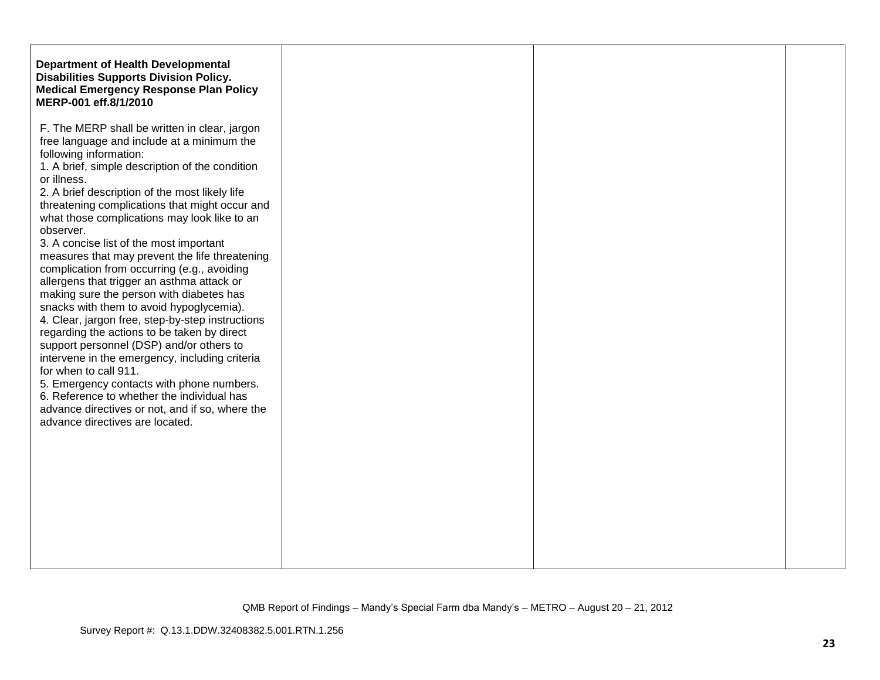| <b>Department of Health Developmental</b><br><b>Disabilities Supports Division Policy.</b><br><b>Medical Emergency Response Plan Policy</b><br>MERP-001 eff.8/1/2010                                                                                                                                                                                                                                                                                                                                                                                                                                                                                                                                                                                                                                                                                                                                                                                                                                                                                  |
|-------------------------------------------------------------------------------------------------------------------------------------------------------------------------------------------------------------------------------------------------------------------------------------------------------------------------------------------------------------------------------------------------------------------------------------------------------------------------------------------------------------------------------------------------------------------------------------------------------------------------------------------------------------------------------------------------------------------------------------------------------------------------------------------------------------------------------------------------------------------------------------------------------------------------------------------------------------------------------------------------------------------------------------------------------|
| F. The MERP shall be written in clear, jargon<br>free language and include at a minimum the<br>following information:<br>1. A brief, simple description of the condition<br>or illness.<br>2. A brief description of the most likely life<br>threatening complications that might occur and<br>what those complications may look like to an<br>observer.<br>3. A concise list of the most important<br>measures that may prevent the life threatening<br>complication from occurring (e.g., avoiding<br>allergens that trigger an asthma attack or<br>making sure the person with diabetes has<br>snacks with them to avoid hypoglycemia).<br>4. Clear, jargon free, step-by-step instructions<br>regarding the actions to be taken by direct<br>support personnel (DSP) and/or others to<br>intervene in the emergency, including criteria<br>for when to call 911.<br>5. Emergency contacts with phone numbers.<br>6. Reference to whether the individual has<br>advance directives or not, and if so, where the<br>advance directives are located. |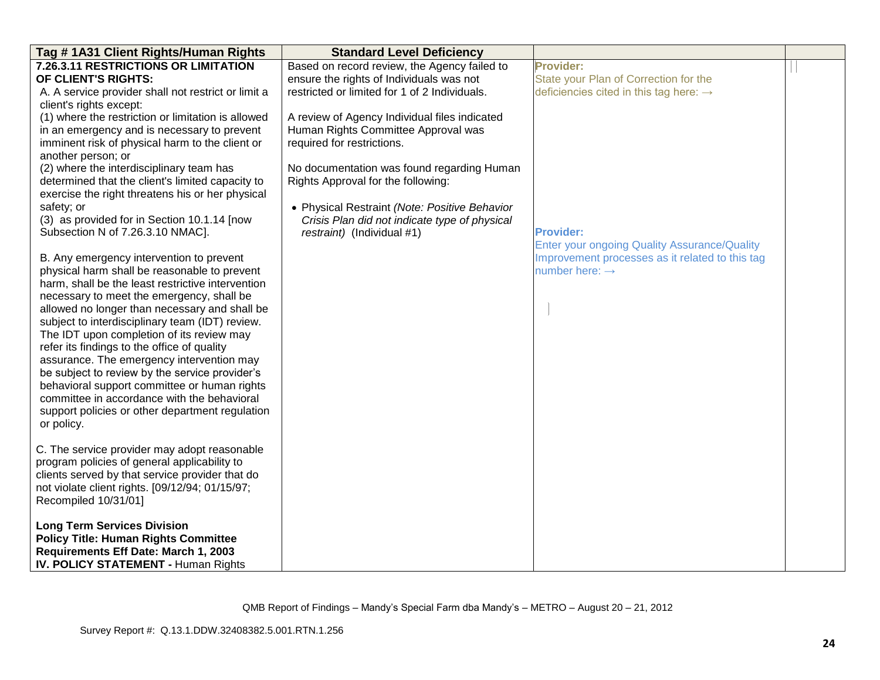| Tag #1A31 Client Rights/Human Rights                | <b>Standard Level Deficiency</b>              |                                                     |  |
|-----------------------------------------------------|-----------------------------------------------|-----------------------------------------------------|--|
| 7.26.3.11 RESTRICTIONS OR LIMITATION                | Based on record review, the Agency failed to  | <b>Provider:</b>                                    |  |
| OF CLIENT'S RIGHTS:                                 | ensure the rights of Individuals was not      | State your Plan of Correction for the               |  |
| A. A service provider shall not restrict or limit a | restricted or limited for 1 of 2 Individuals. | deficiencies cited in this tag here: $\rightarrow$  |  |
| client's rights except:                             |                                               |                                                     |  |
| (1) where the restriction or limitation is allowed  | A review of Agency Individual files indicated |                                                     |  |
| in an emergency and is necessary to prevent         | Human Rights Committee Approval was           |                                                     |  |
| imminent risk of physical harm to the client or     | required for restrictions.                    |                                                     |  |
| another person; or                                  |                                               |                                                     |  |
| (2) where the interdisciplinary team has            | No documentation was found regarding Human    |                                                     |  |
| determined that the client's limited capacity to    | Rights Approval for the following:            |                                                     |  |
| exercise the right threatens his or her physical    |                                               |                                                     |  |
| safety; or                                          | • Physical Restraint (Note: Positive Behavior |                                                     |  |
| (3) as provided for in Section 10.1.14 [now         | Crisis Plan did not indicate type of physical |                                                     |  |
| Subsection N of 7.26.3.10 NMAC].                    | restraint) (Individual #1)                    | <b>Provider:</b>                                    |  |
|                                                     |                                               | <b>Enter your ongoing Quality Assurance/Quality</b> |  |
| B. Any emergency intervention to prevent            |                                               | Improvement processes as it related to this tag     |  |
| physical harm shall be reasonable to prevent        |                                               | number here: $\rightarrow$                          |  |
| harm, shall be the least restrictive intervention   |                                               |                                                     |  |
| necessary to meet the emergency, shall be           |                                               |                                                     |  |
| allowed no longer than necessary and shall be       |                                               |                                                     |  |
| subject to interdisciplinary team (IDT) review.     |                                               |                                                     |  |
| The IDT upon completion of its review may           |                                               |                                                     |  |
| refer its findings to the office of quality         |                                               |                                                     |  |
| assurance. The emergency intervention may           |                                               |                                                     |  |
| be subject to review by the service provider's      |                                               |                                                     |  |
| behavioral support committee or human rights        |                                               |                                                     |  |
| committee in accordance with the behavioral         |                                               |                                                     |  |
| support policies or other department regulation     |                                               |                                                     |  |
| or policy.                                          |                                               |                                                     |  |
|                                                     |                                               |                                                     |  |
| C. The service provider may adopt reasonable        |                                               |                                                     |  |
| program policies of general applicability to        |                                               |                                                     |  |
| clients served by that service provider that do     |                                               |                                                     |  |
| not violate client rights. [09/12/94; 01/15/97;     |                                               |                                                     |  |
| Recompiled 10/31/01]                                |                                               |                                                     |  |
|                                                     |                                               |                                                     |  |
| <b>Long Term Services Division</b>                  |                                               |                                                     |  |
| <b>Policy Title: Human Rights Committee</b>         |                                               |                                                     |  |
| Requirements Eff Date: March 1, 2003                |                                               |                                                     |  |
| <b>IV. POLICY STATEMENT - Human Rights</b>          |                                               |                                                     |  |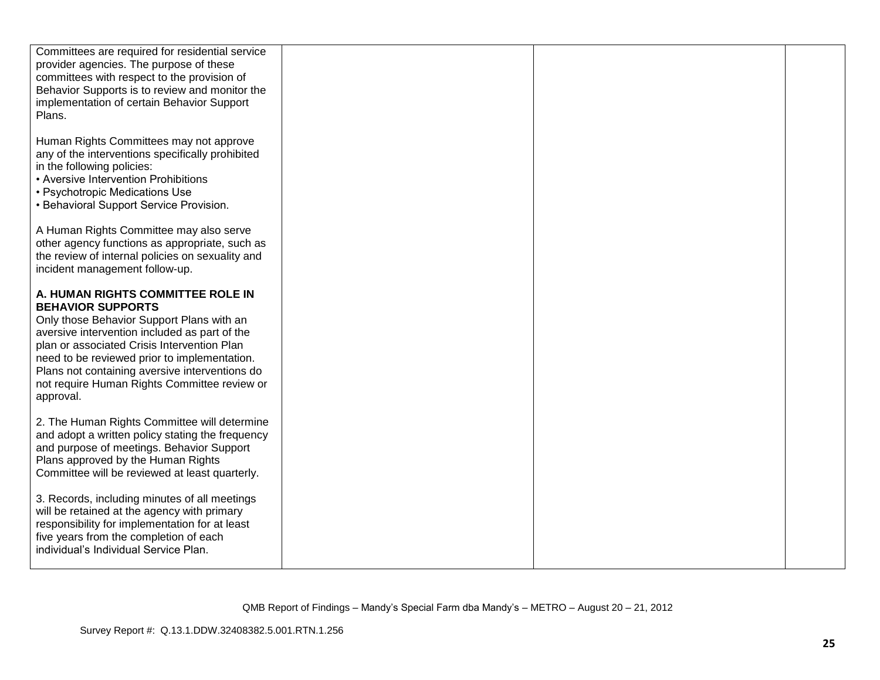| Committees are required for residential service<br>provider agencies. The purpose of these<br>committees with respect to the provision of<br>Behavior Supports is to review and monitor the<br>implementation of certain Behavior Support<br>Plans.                                                                                                                       |  |  |
|---------------------------------------------------------------------------------------------------------------------------------------------------------------------------------------------------------------------------------------------------------------------------------------------------------------------------------------------------------------------------|--|--|
| Human Rights Committees may not approve<br>any of the interventions specifically prohibited<br>in the following policies:<br>• Aversive Intervention Prohibitions<br>• Psychotropic Medications Use<br>• Behavioral Support Service Provision.                                                                                                                            |  |  |
| A Human Rights Committee may also serve<br>other agency functions as appropriate, such as<br>the review of internal policies on sexuality and<br>incident management follow-up.                                                                                                                                                                                           |  |  |
| A. HUMAN RIGHTS COMMITTEE ROLE IN<br><b>BEHAVIOR SUPPORTS</b><br>Only those Behavior Support Plans with an<br>aversive intervention included as part of the<br>plan or associated Crisis Intervention Plan<br>need to be reviewed prior to implementation.<br>Plans not containing aversive interventions do<br>not require Human Rights Committee review or<br>approval. |  |  |
| 2. The Human Rights Committee will determine<br>and adopt a written policy stating the frequency<br>and purpose of meetings. Behavior Support<br>Plans approved by the Human Rights<br>Committee will be reviewed at least quarterly.                                                                                                                                     |  |  |
| 3. Records, including minutes of all meetings<br>will be retained at the agency with primary<br>responsibility for implementation for at least<br>five years from the completion of each<br>individual's Individual Service Plan.                                                                                                                                         |  |  |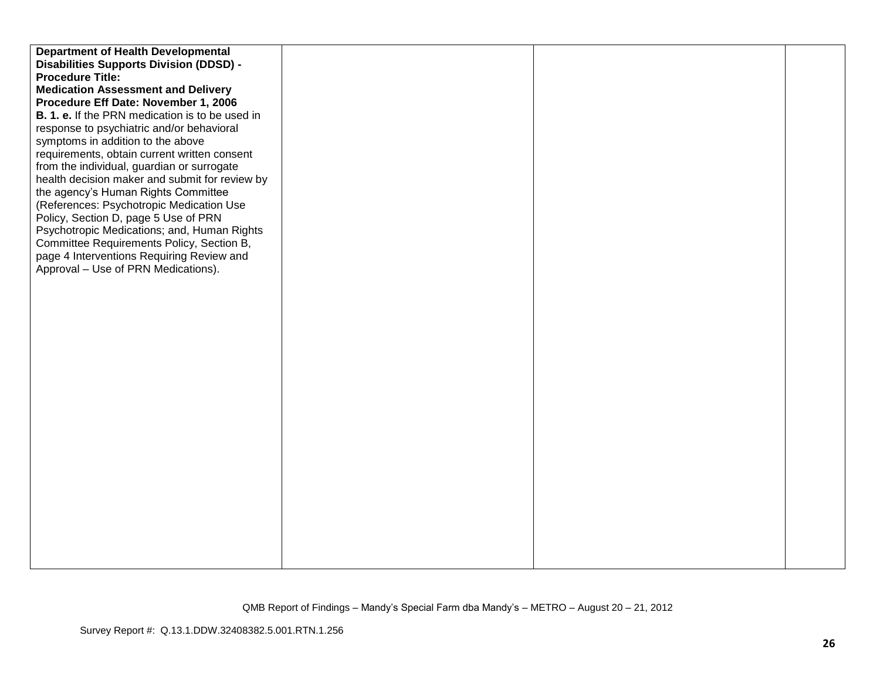| <b>Department of Health Developmental</b><br><b>Disabilities Supports Division (DDSD) -</b> |  |
|---------------------------------------------------------------------------------------------|--|
|                                                                                             |  |
| <b>Procedure Title:</b>                                                                     |  |
| <b>Medication Assessment and Delivery</b>                                                   |  |
| Procedure Eff Date: November 1, 2006                                                        |  |
| <b>B. 1. e.</b> If the PRN medication is to be used in                                      |  |
| response to psychiatric and/or behavioral                                                   |  |
| symptoms in addition to the above                                                           |  |
| requirements, obtain current written consent                                                |  |
| from the individual, guardian or surrogate                                                  |  |
| health decision maker and submit for review by                                              |  |
| the agency's Human Rights Committee                                                         |  |
| (References: Psychotropic Medication Use                                                    |  |
| Policy, Section D, page 5 Use of PRN                                                        |  |
| Psychotropic Medications; and, Human Rights                                                 |  |
| Committee Requirements Policy, Section B,                                                   |  |
| page 4 Interventions Requiring Review and                                                   |  |
| Approval - Use of PRN Medications).                                                         |  |
|                                                                                             |  |
|                                                                                             |  |
|                                                                                             |  |
|                                                                                             |  |
|                                                                                             |  |
|                                                                                             |  |
|                                                                                             |  |
|                                                                                             |  |
|                                                                                             |  |
|                                                                                             |  |
|                                                                                             |  |
|                                                                                             |  |
|                                                                                             |  |
|                                                                                             |  |
|                                                                                             |  |
|                                                                                             |  |
|                                                                                             |  |
|                                                                                             |  |
|                                                                                             |  |
|                                                                                             |  |
|                                                                                             |  |
|                                                                                             |  |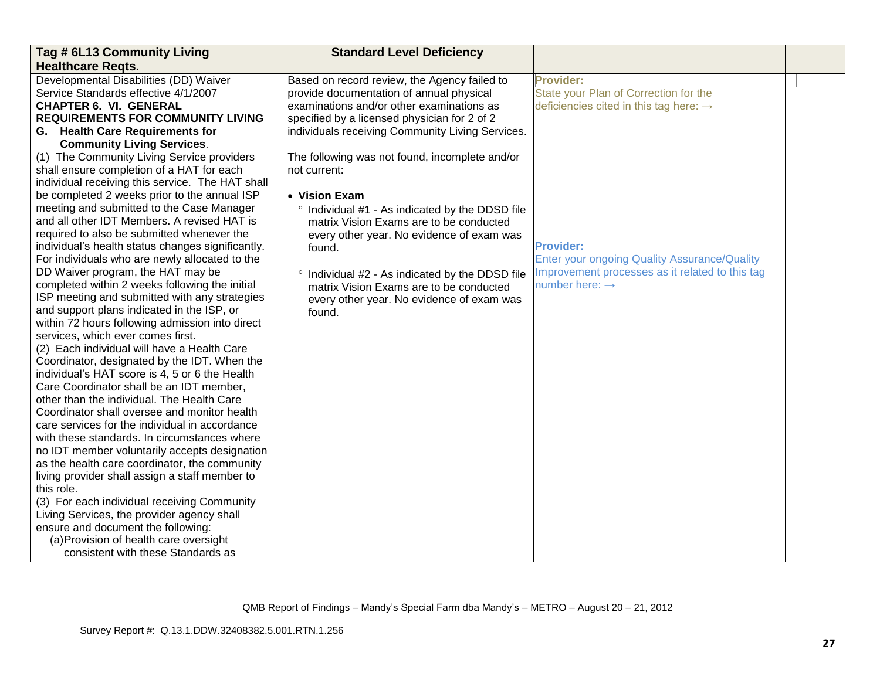| Tag # 6L13 Community Living                                                      | <b>Standard Level Deficiency</b>                 |                                                    |  |
|----------------------------------------------------------------------------------|--------------------------------------------------|----------------------------------------------------|--|
| <b>Healthcare Regts.</b>                                                         |                                                  |                                                    |  |
| Developmental Disabilities (DD) Waiver                                           | Based on record review, the Agency failed to     | Provider:                                          |  |
| Service Standards effective 4/1/2007                                             | provide documentation of annual physical         | State your Plan of Correction for the              |  |
| <b>CHAPTER 6. VI. GENERAL</b>                                                    | examinations and/or other examinations as        | deficiencies cited in this tag here: $\rightarrow$ |  |
| <b>REQUIREMENTS FOR COMMUNITY LIVING</b>                                         | specified by a licensed physician for 2 of 2     |                                                    |  |
| G. Health Care Requirements for                                                  | individuals receiving Community Living Services. |                                                    |  |
| <b>Community Living Services.</b>                                                |                                                  |                                                    |  |
| (1) The Community Living Service providers                                       | The following was not found, incomplete and/or   |                                                    |  |
| shall ensure completion of a HAT for each                                        | not current:                                     |                                                    |  |
| individual receiving this service. The HAT shall                                 |                                                  |                                                    |  |
| be completed 2 weeks prior to the annual ISP                                     | • Vision Exam                                    |                                                    |  |
| meeting and submitted to the Case Manager                                        | ° Individual #1 - As indicated by the DDSD file  |                                                    |  |
| and all other IDT Members. A revised HAT is                                      | matrix Vision Exams are to be conducted          |                                                    |  |
| required to also be submitted whenever the                                       | every other year. No evidence of exam was        |                                                    |  |
| individual's health status changes significantly.                                | found.                                           | <b>Provider:</b>                                   |  |
| For individuals who are newly allocated to the                                   |                                                  | Enter your ongoing Quality Assurance/Quality       |  |
| DD Waiver program, the HAT may be                                                | ° Individual #2 - As indicated by the DDSD file  | Improvement processes as it related to this tag    |  |
| completed within 2 weeks following the initial                                   | matrix Vision Exams are to be conducted          | number here: $\rightarrow$                         |  |
| ISP meeting and submitted with any strategies                                    | every other year. No evidence of exam was        |                                                    |  |
| and support plans indicated in the ISP, or                                       | found.                                           |                                                    |  |
| within 72 hours following admission into direct                                  |                                                  |                                                    |  |
| services, which ever comes first.<br>(2) Each individual will have a Health Care |                                                  |                                                    |  |
| Coordinator, designated by the IDT. When the                                     |                                                  |                                                    |  |
| individual's HAT score is 4, 5 or 6 the Health                                   |                                                  |                                                    |  |
| Care Coordinator shall be an IDT member,                                         |                                                  |                                                    |  |
| other than the individual. The Health Care                                       |                                                  |                                                    |  |
| Coordinator shall oversee and monitor health                                     |                                                  |                                                    |  |
| care services for the individual in accordance                                   |                                                  |                                                    |  |
| with these standards. In circumstances where                                     |                                                  |                                                    |  |
| no IDT member voluntarily accepts designation                                    |                                                  |                                                    |  |
| as the health care coordinator, the community                                    |                                                  |                                                    |  |
| living provider shall assign a staff member to                                   |                                                  |                                                    |  |
| this role.                                                                       |                                                  |                                                    |  |
| (3) For each individual receiving Community                                      |                                                  |                                                    |  |
| Living Services, the provider agency shall                                       |                                                  |                                                    |  |
| ensure and document the following:                                               |                                                  |                                                    |  |
| (a) Provision of health care oversight                                           |                                                  |                                                    |  |
| consistent with these Standards as                                               |                                                  |                                                    |  |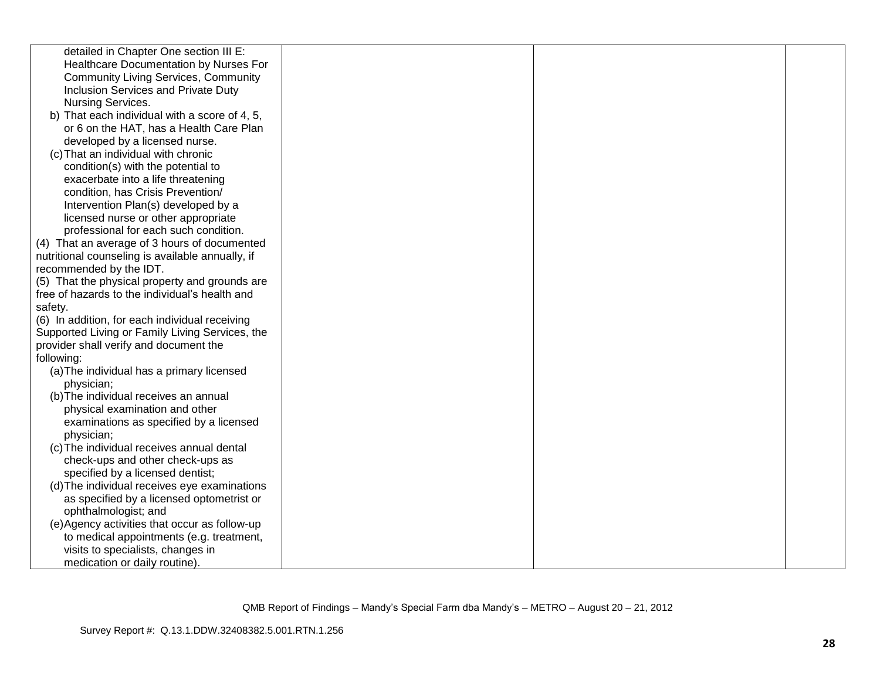| detailed in Chapter One section III E:           |  |  |
|--------------------------------------------------|--|--|
| Healthcare Documentation by Nurses For           |  |  |
| <b>Community Living Services, Community</b>      |  |  |
| Inclusion Services and Private Duty              |  |  |
| Nursing Services.                                |  |  |
| b) That each individual with a score of 4, 5,    |  |  |
| or 6 on the HAT, has a Health Care Plan          |  |  |
| developed by a licensed nurse.                   |  |  |
| (c) That an individual with chronic              |  |  |
| condition(s) with the potential to               |  |  |
| exacerbate into a life threatening               |  |  |
| condition, has Crisis Prevention/                |  |  |
| Intervention Plan(s) developed by a              |  |  |
| licensed nurse or other appropriate              |  |  |
| professional for each such condition.            |  |  |
| (4) That an average of 3 hours of documented     |  |  |
| nutritional counseling is available annually, if |  |  |
| recommended by the IDT.                          |  |  |
| (5) That the physical property and grounds are   |  |  |
| free of hazards to the individual's health and   |  |  |
| safety.                                          |  |  |
| (6) In addition, for each individual receiving   |  |  |
| Supported Living or Family Living Services, the  |  |  |
| provider shall verify and document the           |  |  |
| following:                                       |  |  |
| (a) The individual has a primary licensed        |  |  |
| physician;                                       |  |  |
| (b) The individual receives an annual            |  |  |
| physical examination and other                   |  |  |
| examinations as specified by a licensed          |  |  |
| physician;                                       |  |  |
| (c) The individual receives annual dental        |  |  |
| check-ups and other check-ups as                 |  |  |
| specified by a licensed dentist;                 |  |  |
| (d) The individual receives eye examinations     |  |  |
| as specified by a licensed optometrist or        |  |  |
| ophthalmologist; and                             |  |  |
| (e) Agency activities that occur as follow-up    |  |  |
| to medical appointments (e.g. treatment,         |  |  |
| visits to specialists, changes in                |  |  |
| medication or daily routine).                    |  |  |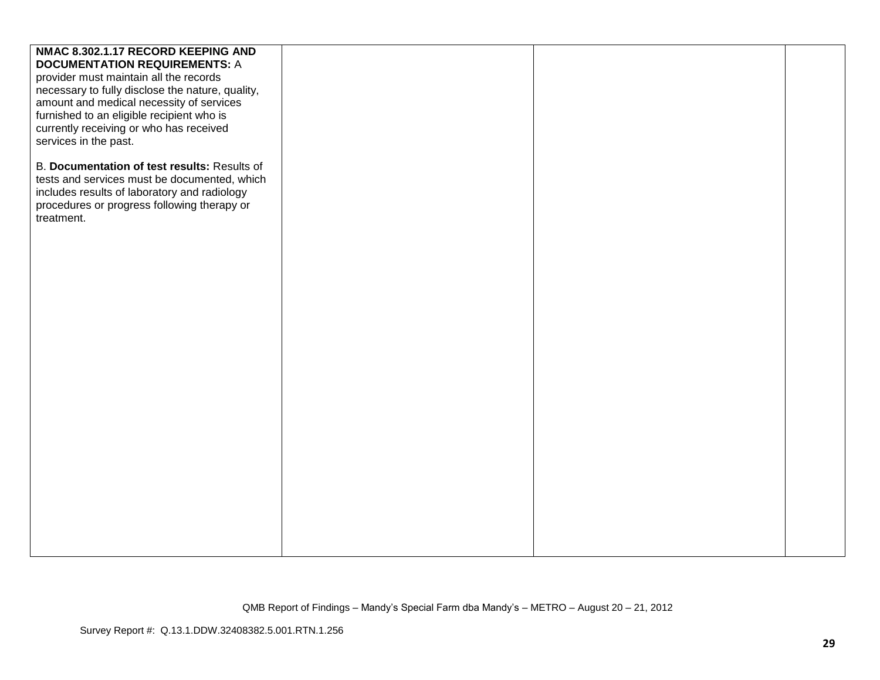| NMAC 8.302.1.17 RECORD KEEPING AND               |  |  |
|--------------------------------------------------|--|--|
| <b>DOCUMENTATION REQUIREMENTS: A</b>             |  |  |
| provider must maintain all the records           |  |  |
| necessary to fully disclose the nature, quality, |  |  |
| amount and medical necessity of services         |  |  |
| furnished to an eligible recipient who is        |  |  |
| currently receiving or who has received          |  |  |
| services in the past.                            |  |  |
|                                                  |  |  |
| B. Documentation of test results: Results of     |  |  |
| tests and services must be documented, which     |  |  |
| includes results of laboratory and radiology     |  |  |
| procedures or progress following therapy or      |  |  |
| treatment.                                       |  |  |
|                                                  |  |  |
|                                                  |  |  |
|                                                  |  |  |
|                                                  |  |  |
|                                                  |  |  |
|                                                  |  |  |
|                                                  |  |  |
|                                                  |  |  |
|                                                  |  |  |
|                                                  |  |  |
|                                                  |  |  |
|                                                  |  |  |
|                                                  |  |  |
|                                                  |  |  |
|                                                  |  |  |
|                                                  |  |  |
|                                                  |  |  |
|                                                  |  |  |
|                                                  |  |  |
|                                                  |  |  |
|                                                  |  |  |
|                                                  |  |  |
|                                                  |  |  |
|                                                  |  |  |
|                                                  |  |  |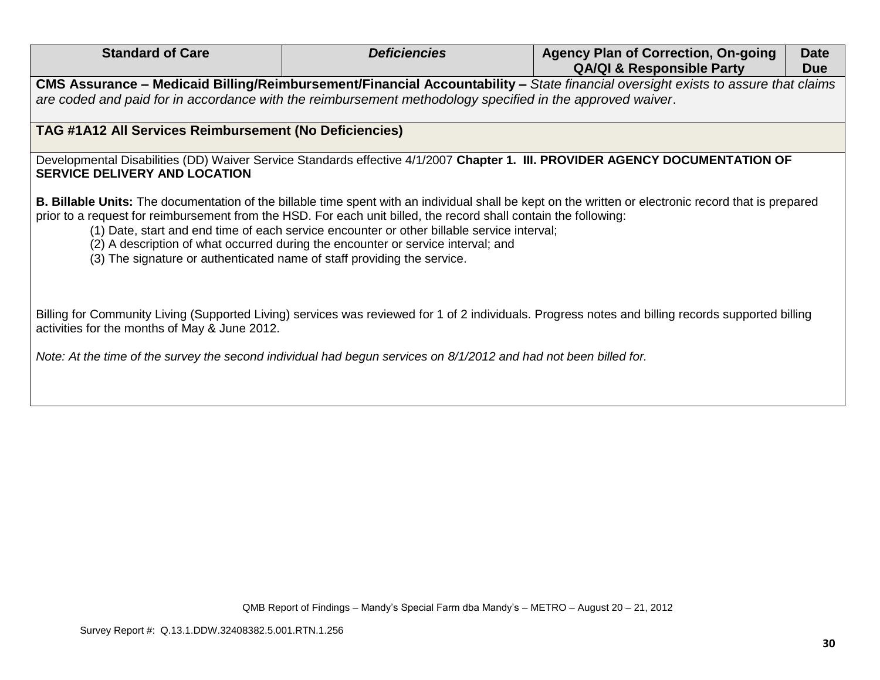| <b>Standard of Care</b>                                                                                                                                                                     | <b>Deficiencies</b>                                                                                                                                                            | <b>Agency Plan of Correction, On-going</b><br><b>QA/QI &amp; Responsible Party</b>                                                                    | <b>Date</b><br><b>Due</b> |
|---------------------------------------------------------------------------------------------------------------------------------------------------------------------------------------------|--------------------------------------------------------------------------------------------------------------------------------------------------------------------------------|-------------------------------------------------------------------------------------------------------------------------------------------------------|---------------------------|
|                                                                                                                                                                                             |                                                                                                                                                                                | CMS Assurance – Medicaid Billing/Reimbursement/Financial Accountability – State financial oversight exists to assure that claims                      |                           |
| are coded and paid for in accordance with the reimbursement methodology specified in the approved waiver.                                                                                   |                                                                                                                                                                                |                                                                                                                                                       |                           |
| TAG #1A12 All Services Reimbursement (No Deficiencies)                                                                                                                                      |                                                                                                                                                                                |                                                                                                                                                       |                           |
|                                                                                                                                                                                             |                                                                                                                                                                                |                                                                                                                                                       |                           |
| <b>SERVICE DELIVERY AND LOCATION</b>                                                                                                                                                        |                                                                                                                                                                                | Developmental Disabilities (DD) Waiver Service Standards effective 4/1/2007 Chapter 1. III. PROVIDER AGENCY DOCUMENTATION OF                          |                           |
| prior to a request for reimbursement from the HSD. For each unit billed, the record shall contain the following:<br>(3) The signature or authenticated name of staff providing the service. | (1) Date, start and end time of each service encounter or other billable service interval;<br>(2) A description of what occurred during the encounter or service interval; and | B. Billable Units: The documentation of the billable time spent with an individual shall be kept on the written or electronic record that is prepared |                           |
| activities for the months of May & June 2012.                                                                                                                                               |                                                                                                                                                                                | Billing for Community Living (Supported Living) services was reviewed for 1 of 2 individuals. Progress notes and billing records supported billing    |                           |
|                                                                                                                                                                                             |                                                                                                                                                                                |                                                                                                                                                       |                           |
|                                                                                                                                                                                             |                                                                                                                                                                                |                                                                                                                                                       |                           |
| Note: At the time of the survey the second individual had begun services on 8/1/2012 and had not been billed for.                                                                           |                                                                                                                                                                                |                                                                                                                                                       |                           |